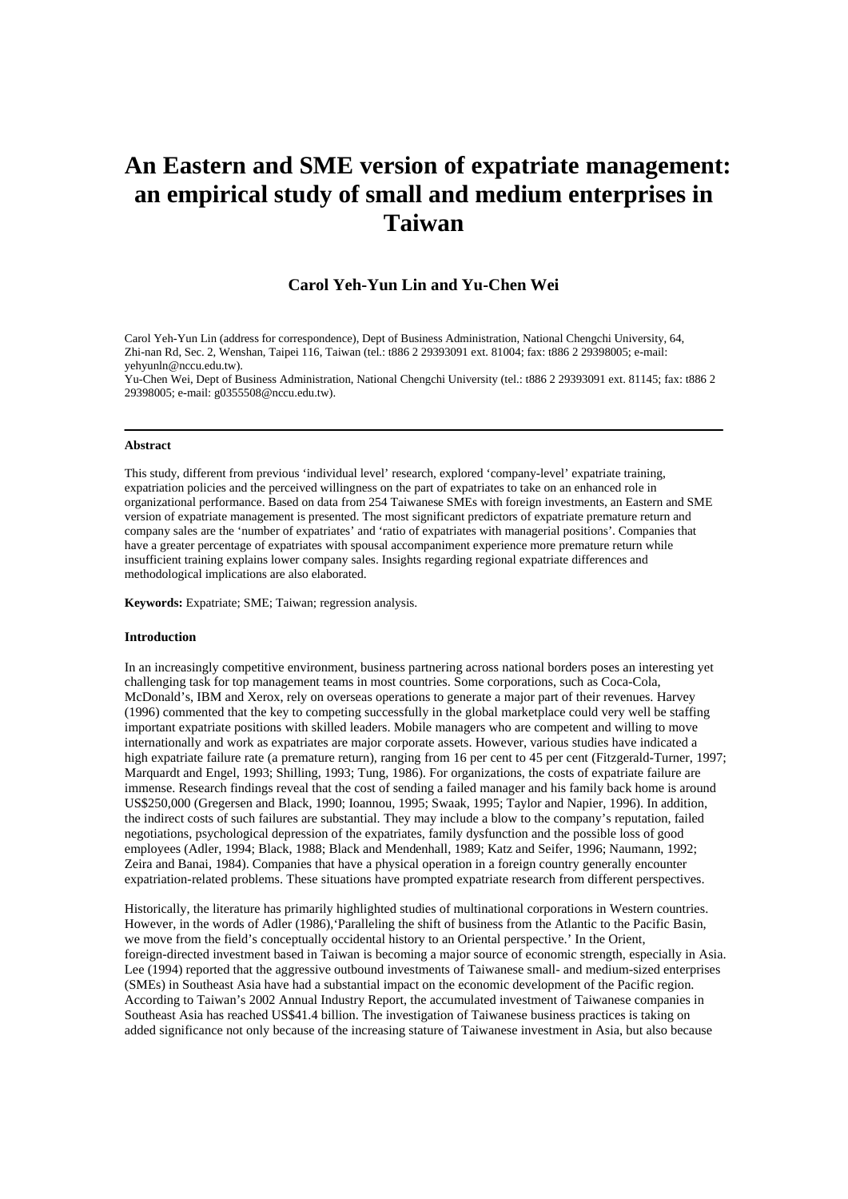# **An Eastern and SME version of expatriate management: an empirical study of small and medium enterprises in Taiwan**

## **Carol Yeh-Yun Lin and Yu-Chen Wei**

Carol Yeh-Yun Lin (address for correspondence), Dept of Business Administration, National Chengchi University, 64, Zhi-nan Rd, Sec. 2, Wenshan, Taipei 116, Taiwan (tel.: t886 2 29393091 ext. 81004; fax: t886 2 29398005; e-mail: yehyunln@nccu.edu.tw).

Yu-Chen Wei, Dept of Business Administration, National Chengchi University (tel.: t886 2 29393091 ext. 81145; fax: t886 2 29398005; e-mail: g0355508@nccu.edu.tw).

### **Abstract**

This study, different from previous 'individual level' research, explored 'company-level' expatriate training, expatriation policies and the perceived willingness on the part of expatriates to take on an enhanced role in organizational performance. Based on data from 254 Taiwanese SMEs with foreign investments, an Eastern and SME version of expatriate management is presented. The most significant predictors of expatriate premature return and company sales are the 'number of expatriates' and 'ratio of expatriates with managerial positions'. Companies that have a greater percentage of expatriates with spousal accompaniment experience more premature return while insufficient training explains lower company sales. Insights regarding regional expatriate differences and methodological implications are also elaborated.

**Keywords:** Expatriate; SME; Taiwan; regression analysis.

#### **Introduction**

In an increasingly competitive environment, business partnering across national borders poses an interesting yet challenging task for top management teams in most countries. Some corporations, such as Coca-Cola, McDonald's, IBM and Xerox, rely on overseas operations to generate a major part of their revenues. Harvey (1996) commented that the key to competing successfully in the global marketplace could very well be staffing important expatriate positions with skilled leaders. Mobile managers who are competent and willing to move internationally and work as expatriates are major corporate assets. However, various studies have indicated a high expatriate failure rate (a premature return), ranging from 16 per cent to 45 per cent (Fitzgerald-Turner, 1997; Marquardt and Engel, 1993; Shilling, 1993; Tung, 1986). For organizations, the costs of expatriate failure are immense. Research findings reveal that the cost of sending a failed manager and his family back home is around US\$250,000 (Gregersen and Black, 1990; Ioannou, 1995; Swaak, 1995; Taylor and Napier, 1996). In addition, the indirect costs of such failures are substantial. They may include a blow to the company's reputation, failed negotiations, psychological depression of the expatriates, family dysfunction and the possible loss of good employees (Adler, 1994; Black, 1988; Black and Mendenhall, 1989; Katz and Seifer, 1996; Naumann, 1992; Zeira and Banai, 1984). Companies that have a physical operation in a foreign country generally encounter expatriation-related problems. These situations have prompted expatriate research from different perspectives.

Historically, the literature has primarily highlighted studies of multinational corporations in Western countries. However, in the words of Adler (1986),'Paralleling the shift of business from the Atlantic to the Pacific Basin, we move from the field's conceptually occidental history to an Oriental perspective.' In the Orient, foreign-directed investment based in Taiwan is becoming a major source of economic strength, especially in Asia. Lee (1994) reported that the aggressive outbound investments of Taiwanese small- and medium-sized enterprises (SMEs) in Southeast Asia have had a substantial impact on the economic development of the Pacific region. According to Taiwan's 2002 Annual Industry Report, the accumulated investment of Taiwanese companies in Southeast Asia has reached US\$41.4 billion. The investigation of Taiwanese business practices is taking on added significance not only because of the increasing stature of Taiwanese investment in Asia, but also because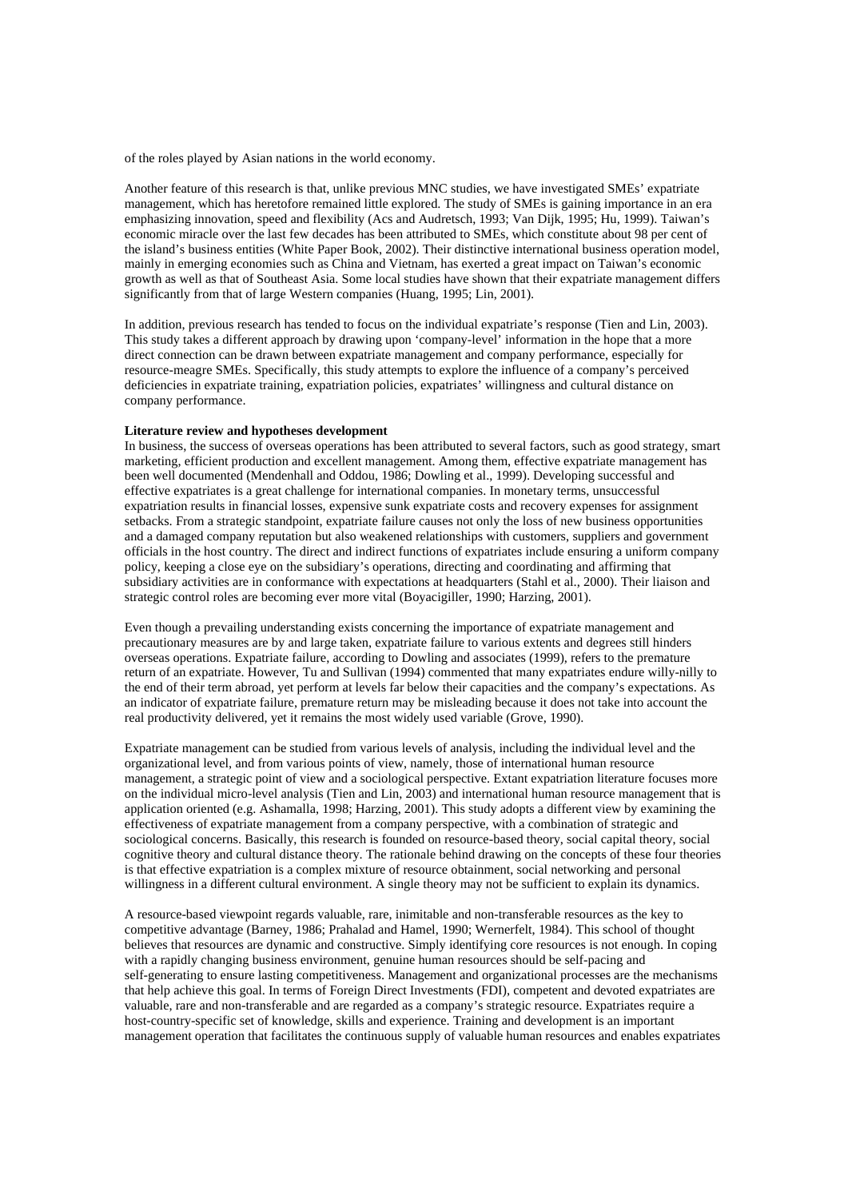of the roles played by Asian nations in the world economy.

Another feature of this research is that, unlike previous MNC studies, we have investigated SMEs' expatriate management, which has heretofore remained little explored. The study of SMEs is gaining importance in an era emphasizing innovation, speed and flexibility (Acs and Audretsch, 1993; Van Dijk, 1995; Hu, 1999). Taiwan's economic miracle over the last few decades has been attributed to SMEs, which constitute about 98 per cent of the island's business entities (White Paper Book, 2002). Their distinctive international business operation model, mainly in emerging economies such as China and Vietnam, has exerted a great impact on Taiwan's economic growth as well as that of Southeast Asia. Some local studies have shown that their expatriate management differs significantly from that of large Western companies (Huang, 1995; Lin, 2001).

In addition, previous research has tended to focus on the individual expatriate's response (Tien and Lin, 2003). This study takes a different approach by drawing upon 'company-level' information in the hope that a more direct connection can be drawn between expatriate management and company performance, especially for resource-meagre SMEs. Specifically, this study attempts to explore the influence of a company's perceived deficiencies in expatriate training, expatriation policies, expatriates' willingness and cultural distance on company performance.

## **Literature review and hypotheses development**

In business, the success of overseas operations has been attributed to several factors, such as good strategy, smart marketing, efficient production and excellent management. Among them, effective expatriate management has been well documented (Mendenhall and Oddou, 1986; Dowling et al., 1999). Developing successful and effective expatriates is a great challenge for international companies. In monetary terms, unsuccessful expatriation results in financial losses, expensive sunk expatriate costs and recovery expenses for assignment setbacks. From a strategic standpoint, expatriate failure causes not only the loss of new business opportunities and a damaged company reputation but also weakened relationships with customers, suppliers and government officials in the host country. The direct and indirect functions of expatriates include ensuring a uniform company policy, keeping a close eye on the subsidiary's operations, directing and coordinating and affirming that subsidiary activities are in conformance with expectations at headquarters (Stahl et al., 2000). Their liaison and strategic control roles are becoming ever more vital (Boyacigiller, 1990; Harzing, 2001).

Even though a prevailing understanding exists concerning the importance of expatriate management and precautionary measures are by and large taken, expatriate failure to various extents and degrees still hinders overseas operations. Expatriate failure, according to Dowling and associates (1999), refers to the premature return of an expatriate. However, Tu and Sullivan (1994) commented that many expatriates endure willy-nilly to the end of their term abroad, yet perform at levels far below their capacities and the company's expectations. As an indicator of expatriate failure, premature return may be misleading because it does not take into account the real productivity delivered, yet it remains the most widely used variable (Grove, 1990).

Expatriate management can be studied from various levels of analysis, including the individual level and the organizational level, and from various points of view, namely, those of international human resource management, a strategic point of view and a sociological perspective. Extant expatriation literature focuses more on the individual micro-level analysis (Tien and Lin, 2003) and international human resource management that is application oriented (e.g. Ashamalla, 1998; Harzing, 2001). This study adopts a different view by examining the effectiveness of expatriate management from a company perspective, with a combination of strategic and sociological concerns. Basically, this research is founded on resource-based theory, social capital theory, social cognitive theory and cultural distance theory. The rationale behind drawing on the concepts of these four theories is that effective expatriation is a complex mixture of resource obtainment, social networking and personal willingness in a different cultural environment. A single theory may not be sufficient to explain its dynamics.

A resource-based viewpoint regards valuable, rare, inimitable and non-transferable resources as the key to competitive advantage (Barney, 1986; Prahalad and Hamel, 1990; Wernerfelt, 1984). This school of thought believes that resources are dynamic and constructive. Simply identifying core resources is not enough. In coping with a rapidly changing business environment, genuine human resources should be self-pacing and self-generating to ensure lasting competitiveness. Management and organizational processes are the mechanisms that help achieve this goal. In terms of Foreign Direct Investments (FDI), competent and devoted expatriates are valuable, rare and non-transferable and are regarded as a company's strategic resource. Expatriates require a host-country-specific set of knowledge, skills and experience. Training and development is an important management operation that facilitates the continuous supply of valuable human resources and enables expatriates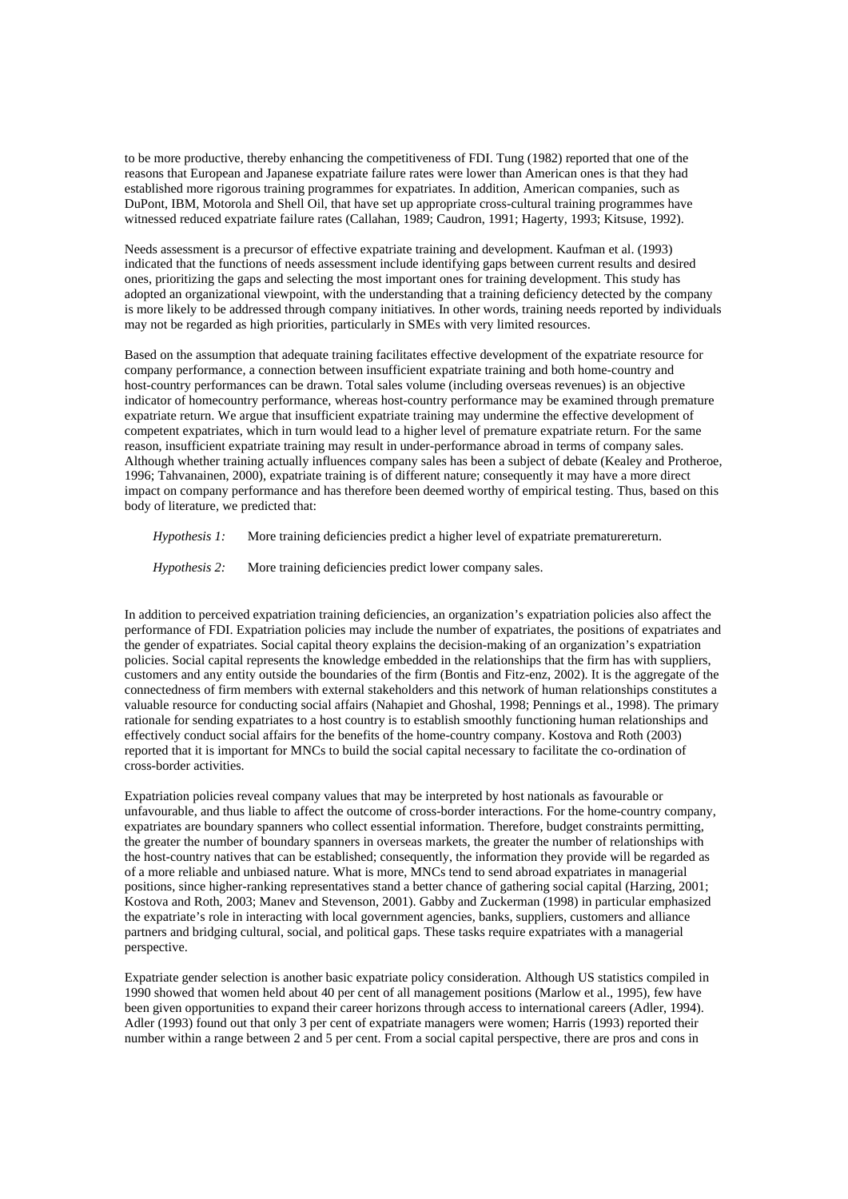to be more productive, thereby enhancing the competitiveness of FDI. Tung (1982) reported that one of the reasons that European and Japanese expatriate failure rates were lower than American ones is that they had established more rigorous training programmes for expatriates. In addition, American companies, such as DuPont, IBM, Motorola and Shell Oil, that have set up appropriate cross-cultural training programmes have witnessed reduced expatriate failure rates (Callahan, 1989; Caudron, 1991; Hagerty, 1993; Kitsuse, 1992).

Needs assessment is a precursor of effective expatriate training and development. Kaufman et al. (1993) indicated that the functions of needs assessment include identifying gaps between current results and desired ones, prioritizing the gaps and selecting the most important ones for training development. This study has adopted an organizational viewpoint, with the understanding that a training deficiency detected by the company is more likely to be addressed through company initiatives. In other words, training needs reported by individuals may not be regarded as high priorities, particularly in SMEs with very limited resources.

Based on the assumption that adequate training facilitates effective development of the expatriate resource for company performance, a connection between insufficient expatriate training and both home-country and host-country performances can be drawn. Total sales volume (including overseas revenues) is an objective indicator of homecountry performance, whereas host-country performance may be examined through premature expatriate return. We argue that insufficient expatriate training may undermine the effective development of competent expatriates, which in turn would lead to a higher level of premature expatriate return. For the same reason, insufficient expatriate training may result in under-performance abroad in terms of company sales. Although whether training actually influences company sales has been a subject of debate (Kealey and Protheroe, 1996; Tahvanainen, 2000), expatriate training is of different nature; consequently it may have a more direct impact on company performance and has therefore been deemed worthy of empirical testing. Thus, based on this body of literature, we predicted that:

*Hypothesis 1:* More training deficiencies predict a higher level of expatriate prematurereturn.

*Hypothesis 2:* More training deficiencies predict lower company sales.

In addition to perceived expatriation training deficiencies, an organization's expatriation policies also affect the performance of FDI. Expatriation policies may include the number of expatriates, the positions of expatriates and the gender of expatriates. Social capital theory explains the decision-making of an organization's expatriation policies. Social capital represents the knowledge embedded in the relationships that the firm has with suppliers, customers and any entity outside the boundaries of the firm (Bontis and Fitz-enz, 2002). It is the aggregate of the connectedness of firm members with external stakeholders and this network of human relationships constitutes a valuable resource for conducting social affairs (Nahapiet and Ghoshal, 1998; Pennings et al., 1998). The primary rationale for sending expatriates to a host country is to establish smoothly functioning human relationships and effectively conduct social affairs for the benefits of the home-country company. Kostova and Roth (2003) reported that it is important for MNCs to build the social capital necessary to facilitate the co-ordination of cross-border activities.

Expatriation policies reveal company values that may be interpreted by host nationals as favourable or unfavourable, and thus liable to affect the outcome of cross-border interactions. For the home-country company, expatriates are boundary spanners who collect essential information. Therefore, budget constraints permitting, the greater the number of boundary spanners in overseas markets, the greater the number of relationships with the host-country natives that can be established; consequently, the information they provide will be regarded as of a more reliable and unbiased nature. What is more, MNCs tend to send abroad expatriates in managerial positions, since higher-ranking representatives stand a better chance of gathering social capital (Harzing, 2001; Kostova and Roth, 2003; Manev and Stevenson, 2001). Gabby and Zuckerman (1998) in particular emphasized the expatriate's role in interacting with local government agencies, banks, suppliers, customers and alliance partners and bridging cultural, social, and political gaps. These tasks require expatriates with a managerial perspective.

Expatriate gender selection is another basic expatriate policy consideration. Although US statistics compiled in 1990 showed that women held about 40 per cent of all management positions (Marlow et al., 1995), few have been given opportunities to expand their career horizons through access to international careers (Adler, 1994). Adler (1993) found out that only 3 per cent of expatriate managers were women; Harris (1993) reported their number within a range between 2 and 5 per cent. From a social capital perspective, there are pros and cons in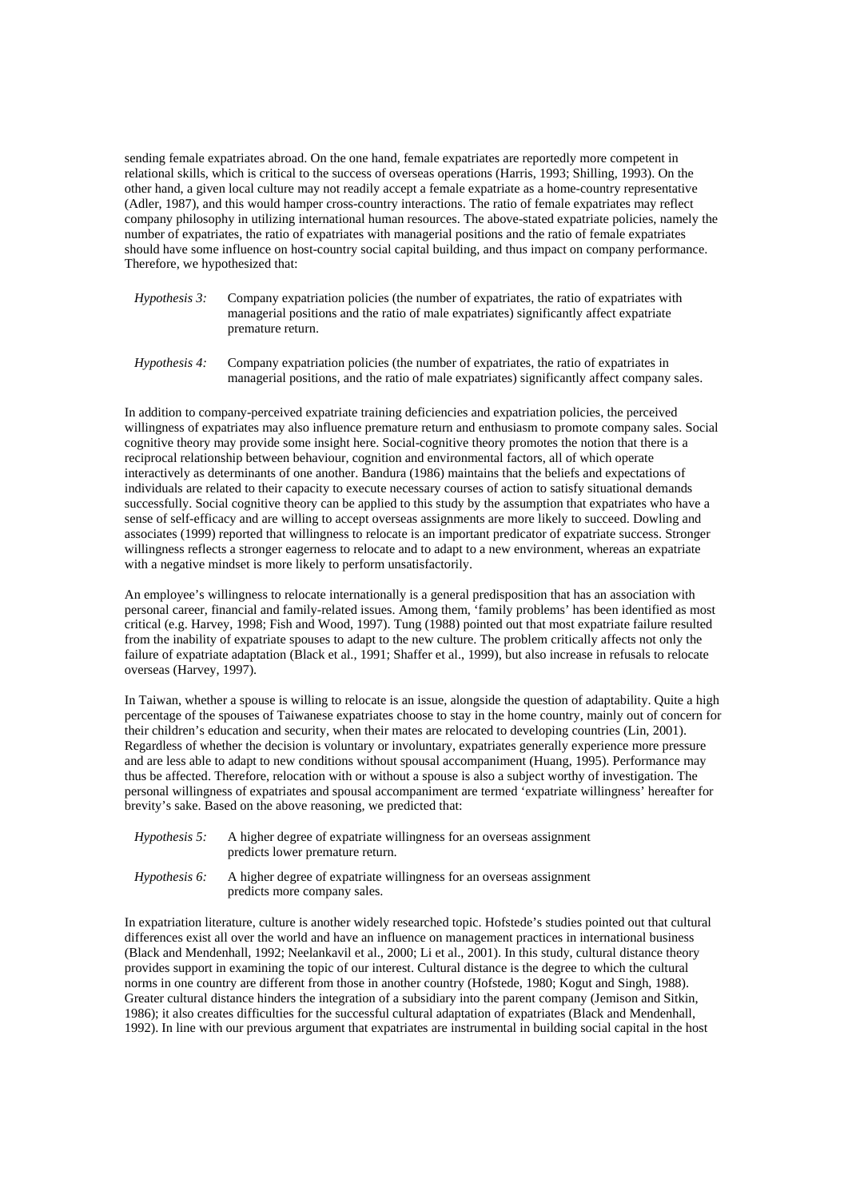sending female expatriates abroad. On the one hand, female expatriates are reportedly more competent in relational skills, which is critical to the success of overseas operations (Harris, 1993; Shilling, 1993). On the other hand, a given local culture may not readily accept a female expatriate as a home-country representative (Adler, 1987), and this would hamper cross-country interactions. The ratio of female expatriates may reflect company philosophy in utilizing international human resources. The above-stated expatriate policies, namely the number of expatriates, the ratio of expatriates with managerial positions and the ratio of female expatriates should have some influence on host-country social capital building, and thus impact on company performance. Therefore, we hypothesized that:

- *Hypothesis 3:* Company expatriation policies (the number of expatriates, the ratio of expatriates with managerial positions and the ratio of male expatriates) significantly affect expatriate premature return.
- *Hypothesis 4:* Company expatriation policies (the number of expatriates, the ratio of expatriates in managerial positions, and the ratio of male expatriates) significantly affect company sales.

In addition to company-perceived expatriate training deficiencies and expatriation policies, the perceived willingness of expatriates may also influence premature return and enthusiasm to promote company sales. Social cognitive theory may provide some insight here. Social-cognitive theory promotes the notion that there is a reciprocal relationship between behaviour, cognition and environmental factors, all of which operate interactively as determinants of one another. Bandura (1986) maintains that the beliefs and expectations of individuals are related to their capacity to execute necessary courses of action to satisfy situational demands successfully. Social cognitive theory can be applied to this study by the assumption that expatriates who have a sense of self-efficacy and are willing to accept overseas assignments are more likely to succeed. Dowling and associates (1999) reported that willingness to relocate is an important predicator of expatriate success. Stronger willingness reflects a stronger eagerness to relocate and to adapt to a new environment, whereas an expatriate with a negative mindset is more likely to perform unsatisfactorily.

An employee's willingness to relocate internationally is a general predisposition that has an association with personal career, financial and family-related issues. Among them, 'family problems' has been identified as most critical (e.g. Harvey, 1998; Fish and Wood, 1997). Tung (1988) pointed out that most expatriate failure resulted from the inability of expatriate spouses to adapt to the new culture. The problem critically affects not only the failure of expatriate adaptation (Black et al., 1991; Shaffer et al., 1999), but also increase in refusals to relocate overseas (Harvey, 1997).

In Taiwan, whether a spouse is willing to relocate is an issue, alongside the question of adaptability. Quite a high percentage of the spouses of Taiwanese expatriates choose to stay in the home country, mainly out of concern for their children's education and security, when their mates are relocated to developing countries (Lin, 2001). Regardless of whether the decision is voluntary or involuntary, expatriates generally experience more pressure and are less able to adapt to new conditions without spousal accompaniment (Huang, 1995). Performance may thus be affected. Therefore, relocation with or without a spouse is also a subject worthy of investigation. The personal willingness of expatriates and spousal accompaniment are termed 'expatriate willingness' hereafter for brevity's sake. Based on the above reasoning, we predicted that:

| A higher degree of expatriate willingness for an overseas assignment |
|----------------------------------------------------------------------|
| predicts lower premature return.                                     |
|                                                                      |

*Hypothesis 6:* A higher degree of expatriate willingness for an overseas assignment predicts more company sales.

In expatriation literature, culture is another widely researched topic. Hofstede's studies pointed out that cultural differences exist all over the world and have an influence on management practices in international business (Black and Mendenhall, 1992; Neelankavil et al., 2000; Li et al., 2001). In this study, cultural distance theory provides support in examining the topic of our interest. Cultural distance is the degree to which the cultural norms in one country are different from those in another country (Hofstede, 1980; Kogut and Singh, 1988). Greater cultural distance hinders the integration of a subsidiary into the parent company (Jemison and Sitkin, 1986); it also creates difficulties for the successful cultural adaptation of expatriates (Black and Mendenhall, 1992). In line with our previous argument that expatriates are instrumental in building social capital in the host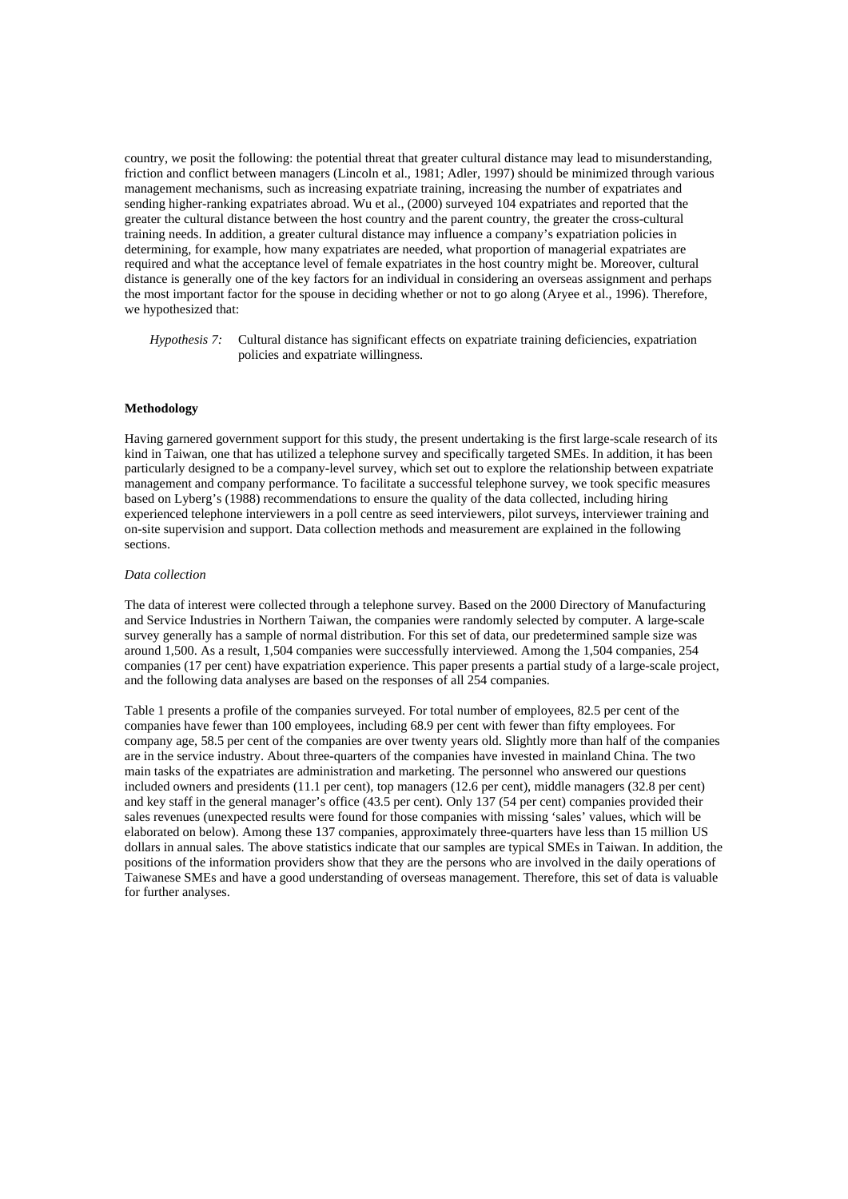country, we posit the following: the potential threat that greater cultural distance may lead to misunderstanding, friction and conflict between managers (Lincoln et al., 1981; Adler, 1997) should be minimized through various management mechanisms, such as increasing expatriate training, increasing the number of expatriates and sending higher-ranking expatriates abroad. Wu et al., (2000) surveyed 104 expatriates and reported that the greater the cultural distance between the host country and the parent country, the greater the cross-cultural training needs. In addition, a greater cultural distance may influence a company's expatriation policies in determining, for example, how many expatriates are needed, what proportion of managerial expatriates are required and what the acceptance level of female expatriates in the host country might be. Moreover, cultural distance is generally one of the key factors for an individual in considering an overseas assignment and perhaps the most important factor for the spouse in deciding whether or not to go along (Aryee et al., 1996). Therefore, we hypothesized that:

*Hypothesis 7:* Cultural distance has significant effects on expatriate training deficiencies, expatriation policies and expatriate willingness.

## **Methodology**

Having garnered government support for this study, the present undertaking is the first large-scale research of its kind in Taiwan, one that has utilized a telephone survey and specifically targeted SMEs. In addition, it has been particularly designed to be a company-level survey, which set out to explore the relationship between expatriate management and company performance. To facilitate a successful telephone survey, we took specific measures based on Lyberg's (1988) recommendations to ensure the quality of the data collected, including hiring experienced telephone interviewers in a poll centre as seed interviewers, pilot surveys, interviewer training and on-site supervision and support. Data collection methods and measurement are explained in the following sections.

#### *Data collection*

The data of interest were collected through a telephone survey. Based on the 2000 Directory of Manufacturing and Service Industries in Northern Taiwan, the companies were randomly selected by computer. A large-scale survey generally has a sample of normal distribution. For this set of data, our predetermined sample size was around 1,500. As a result, 1,504 companies were successfully interviewed. Among the 1,504 companies, 254 companies (17 per cent) have expatriation experience. This paper presents a partial study of a large-scale project, and the following data analyses are based on the responses of all 254 companies.

Table 1 presents a profile of the companies surveyed. For total number of employees, 82.5 per cent of the companies have fewer than 100 employees, including 68.9 per cent with fewer than fifty employees. For company age, 58.5 per cent of the companies are over twenty years old. Slightly more than half of the companies are in the service industry. About three-quarters of the companies have invested in mainland China. The two main tasks of the expatriates are administration and marketing. The personnel who answered our questions included owners and presidents (11.1 per cent), top managers (12.6 per cent), middle managers (32.8 per cent) and key staff in the general manager's office (43.5 per cent). Only 137 (54 per cent) companies provided their sales revenues (unexpected results were found for those companies with missing 'sales' values, which will be elaborated on below). Among these 137 companies, approximately three-quarters have less than 15 million US dollars in annual sales. The above statistics indicate that our samples are typical SMEs in Taiwan. In addition, the positions of the information providers show that they are the persons who are involved in the daily operations of Taiwanese SMEs and have a good understanding of overseas management. Therefore, this set of data is valuable for further analyses.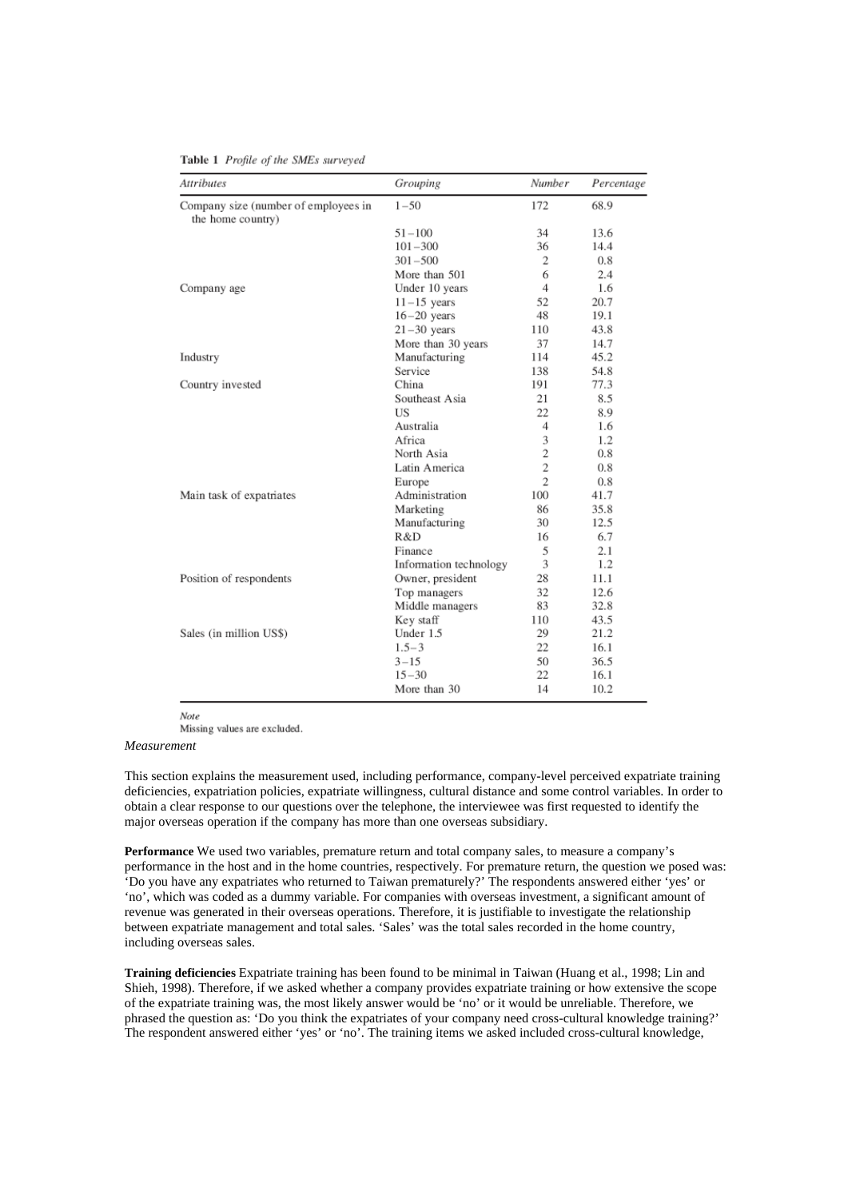|                                                           |                        |                | Percentage |
|-----------------------------------------------------------|------------------------|----------------|------------|
| Company size (number of employees in<br>the home country) | $1 - 50$               | 172            | 68.9       |
|                                                           | $51 - 100$             | 34             | 13.6       |
|                                                           | $101 - 300$            | 36             | 14.4       |
|                                                           | $301 - 500$            | 2              | 0.8        |
|                                                           | More than 501          | 6              | 2.4        |
| Company age                                               | Under 10 years         | 4              | 1.6        |
|                                                           | $11-15$ years          | 52             | 20.7       |
|                                                           | $16 - 20$ years        | 48             | 19.1       |
|                                                           | $21 - 30$ years        | 110            | 43.8       |
|                                                           | More than 30 years     | 37             | 14.7       |
| Industry                                                  | Manufacturing          | 114            | 45.2       |
|                                                           | Service                | 138            | 54.8       |
| Country invested                                          | China                  | 191            | 77.3       |
|                                                           | Southeast Asia         | 21             | 8.5        |
|                                                           | US                     | 22             | 8.9        |
|                                                           | Australia              | 4              | 1.6        |
|                                                           | Africa                 | 3              | 1.2        |
|                                                           | North Asia             | $\overline{c}$ | 0.8        |
|                                                           | Latin America          | $\overline{c}$ | 0.8        |
|                                                           | Europe                 | $\overline{2}$ | 0.8        |
| Main task of expatriates                                  | Administration         | 100            | 41.7       |
|                                                           | Marketing              | 86             | 35.8       |
|                                                           | Manufacturing          | 30             | 12.5       |
|                                                           | R&D                    | 16             | 6.7        |
|                                                           | Finance                | 5              | 2.1        |
|                                                           | Information technology | 3              | 1.2        |
| Position of respondents                                   | Owner, president       | 28             | 11.1       |
|                                                           | Top managers           | 32             | 12.6       |
|                                                           | Middle managers        | 83             | 32.8       |
|                                                           | Key staff              | 110            | 43.5       |
| Sales (in million US\$)                                   | Under 1.5              | 29             | 21.2       |
|                                                           | $1.5 - 3$              | 22             | 16.1       |
|                                                           | $3 - 15$               | 50             | 36.5       |
|                                                           | $15 - 30$              | 22             | 16.1       |
|                                                           | More than 30           | 14             | 10.2       |

## Table 1 Profile of the SMEs surveyed

Note

Missing values are excluded.

#### *Measurement*

This section explains the measurement used, including performance, company-level perceived expatriate training deficiencies, expatriation policies, expatriate willingness, cultural distance and some control variables. In order to obtain a clear response to our questions over the telephone, the interviewee was first requested to identify the major overseas operation if the company has more than one overseas subsidiary.

**Performance** We used two variables, premature return and total company sales, to measure a company's performance in the host and in the home countries, respectively. For premature return, the question we posed was: 'Do you have any expatriates who returned to Taiwan prematurely?' The respondents answered either 'yes' or 'no', which was coded as a dummy variable. For companies with overseas investment, a significant amount of revenue was generated in their overseas operations. Therefore, it is justifiable to investigate the relationship between expatriate management and total sales. 'Sales' was the total sales recorded in the home country, including overseas sales.

**Training deficiencies** Expatriate training has been found to be minimal in Taiwan (Huang et al., 1998; Lin and Shieh, 1998). Therefore, if we asked whether a company provides expatriate training or how extensive the scope of the expatriate training was, the most likely answer would be 'no' or it would be unreliable. Therefore, we phrased the question as: 'Do you think the expatriates of your company need cross-cultural knowledge training?' The respondent answered either 'yes' or 'no'. The training items we asked included cross-cultural knowledge,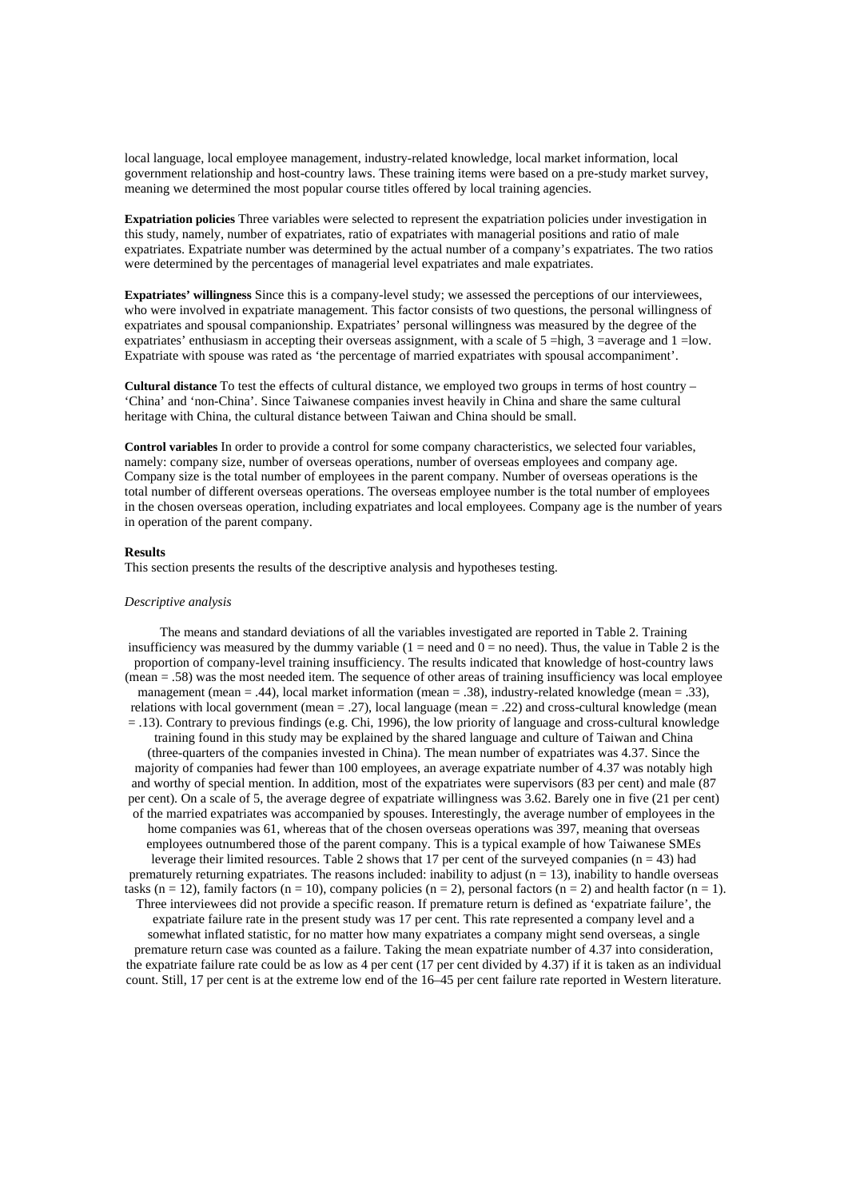local language, local employee management, industry-related knowledge, local market information, local government relationship and host-country laws. These training items were based on a pre-study market survey, meaning we determined the most popular course titles offered by local training agencies.

**Expatriation policies** Three variables were selected to represent the expatriation policies under investigation in this study, namely, number of expatriates, ratio of expatriates with managerial positions and ratio of male expatriates. Expatriate number was determined by the actual number of a company's expatriates. The two ratios were determined by the percentages of managerial level expatriates and male expatriates.

**Expatriates' willingness** Since this is a company-level study; we assessed the perceptions of our interviewees, who were involved in expatriate management. This factor consists of two questions, the personal willingness of expatriates and spousal companionship. Expatriates' personal willingness was measured by the degree of the expatriates' enthusiasm in accepting their overseas assignment, with a scale of  $5 =$ high,  $3 =$ average and  $1 =$ low. Expatriate with spouse was rated as 'the percentage of married expatriates with spousal accompaniment'.

**Cultural distance** To test the effects of cultural distance, we employed two groups in terms of host country – 'China' and 'non-China'. Since Taiwanese companies invest heavily in China and share the same cultural heritage with China, the cultural distance between Taiwan and China should be small.

**Control variables** In order to provide a control for some company characteristics, we selected four variables, namely: company size, number of overseas operations, number of overseas employees and company age. Company size is the total number of employees in the parent company. Number of overseas operations is the total number of different overseas operations. The overseas employee number is the total number of employees in the chosen overseas operation, including expatriates and local employees. Company age is the number of years in operation of the parent company.

## **Results**

This section presents the results of the descriptive analysis and hypotheses testing.

#### *Descriptive analysis*

The means and standard deviations of all the variables investigated are reported in Table 2. Training insufficiency was measured by the dummy variable  $(1 = need and 0 = no need)$ . Thus, the value in Table 2 is the proportion of company-level training insufficiency. The results indicated that knowledge of host-country laws (mean = .58) was the most needed item. The sequence of other areas of training insufficiency was local employee management (mean = .44), local market information (mean = .38), industry-related knowledge (mean = .33), relations with local government (mean = .27), local language (mean = .22) and cross-cultural knowledge (mean = .13). Contrary to previous findings (e.g. Chi, 1996), the low priority of language and cross-cultural knowledge training found in this study may be explained by the shared language and culture of Taiwan and China (three-quarters of the companies invested in China). The mean number of expatriates was 4.37. Since the majority of companies had fewer than 100 employees, an average expatriate number of 4.37 was notably high and worthy of special mention. In addition, most of the expatriates were supervisors (83 per cent) and male (87 per cent). On a scale of 5, the average degree of expatriate willingness was 3.62. Barely one in five (21 per cent) of the married expatriates was accompanied by spouses. Interestingly, the average number of employees in the home companies was 61, whereas that of the chosen overseas operations was 397, meaning that overseas employees outnumbered those of the parent company. This is a typical example of how Taiwanese SMEs leverage their limited resources. Table 2 shows that 17 per cent of the surveyed companies ( $n = 43$ ) had prematurely returning expatriates. The reasons included: inability to adjust  $(n = 13)$ , inability to handle overseas tasks (n = 12), family factors (n = 10), company policies (n = 2), personal factors (n = 2) and health factor (n = 1). Three interviewees did not provide a specific reason. If premature return is defined as 'expatriate failure', the expatriate failure rate in the present study was 17 per cent. This rate represented a company level and a somewhat inflated statistic, for no matter how many expatriates a company might send overseas, a single premature return case was counted as a failure. Taking the mean expatriate number of 4.37 into consideration, the expatriate failure rate could be as low as 4 per cent (17 per cent divided by 4.37) if it is taken as an individual count. Still, 17 per cent is at the extreme low end of the 16–45 per cent failure rate reported in Western literature.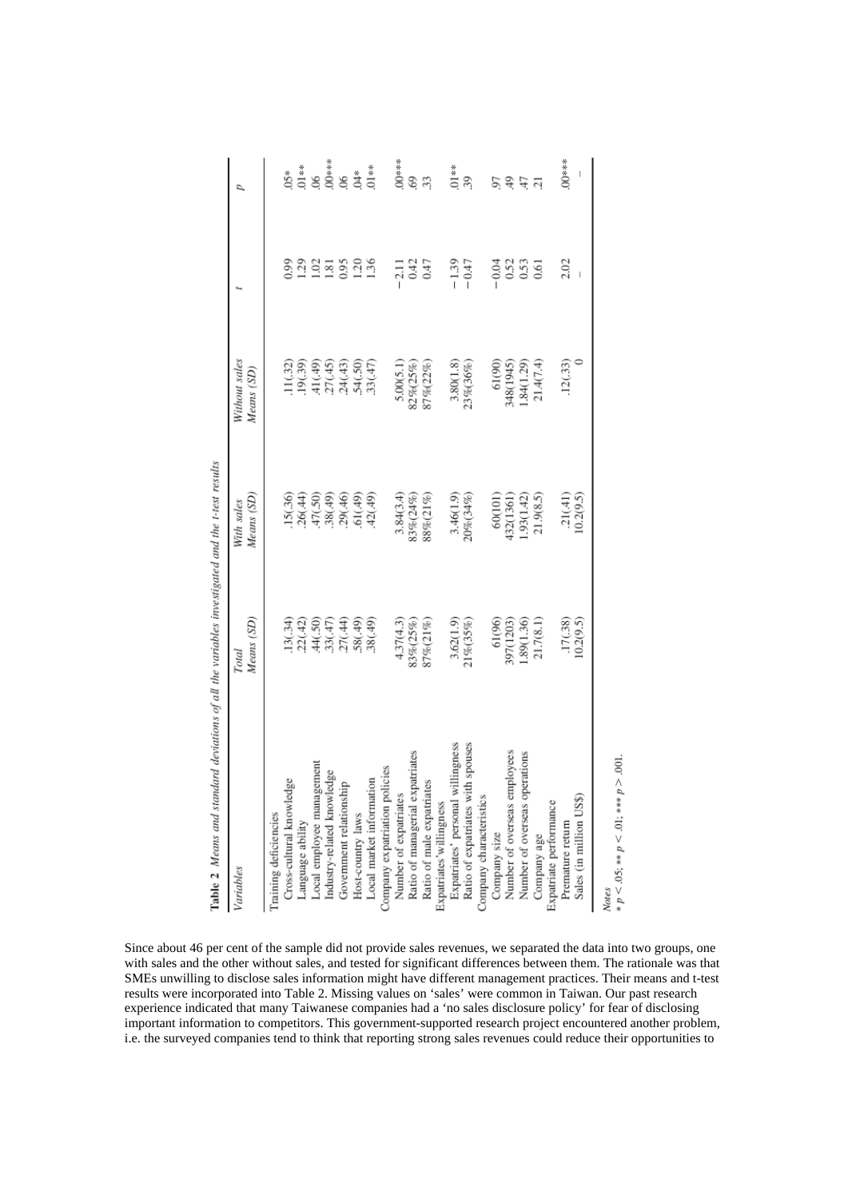| Table 2 Means and standard deviations of all the variables investigated and the t-test results |                     |                          |                             |          |                                                                                                                                                                                                                                                                                                                                                                                  |
|------------------------------------------------------------------------------------------------|---------------------|--------------------------|-----------------------------|----------|----------------------------------------------------------------------------------------------------------------------------------------------------------------------------------------------------------------------------------------------------------------------------------------------------------------------------------------------------------------------------------|
| Variables                                                                                      | Means (SD)<br>Total | Means (SD)<br>With sales | Without sales<br>Means (SD) |          | p                                                                                                                                                                                                                                                                                                                                                                                |
| Training deficiencies                                                                          |                     |                          |                             |          |                                                                                                                                                                                                                                                                                                                                                                                  |
| Cross-cultural knowledge                                                                       | 13(.34)             | 15(.36)                  | 11(.32)                     | 0.99     | š*                                                                                                                                                                                                                                                                                                                                                                               |
| Language ability                                                                               | .22(.42)            | .26(.44)                 | .19(.39)                    | $^{129}$ | $.01**$                                                                                                                                                                                                                                                                                                                                                                          |
| Local employee management                                                                      | .44(.50)            | .47(.50)                 | .41(.49)                    | 1.02     | S.                                                                                                                                                                                                                                                                                                                                                                               |
| Industry-related knowledge                                                                     | .33(.47)            | .38(.49)                 | .27(.45)                    | 1.81     | $00***$                                                                                                                                                                                                                                                                                                                                                                          |
| Government relationship                                                                        | 27(.44)             | .29(.46)                 | .24(.43)                    | 0.95     | S                                                                                                                                                                                                                                                                                                                                                                                |
| Host-country laws                                                                              | 58(.49)             | (61(49)                  | 54(.50)                     | 1.20     | å                                                                                                                                                                                                                                                                                                                                                                                |
| Local market information                                                                       | .38(.49)            | .42(.49)                 | 33(47)                      | 1.36     | $01**$                                                                                                                                                                                                                                                                                                                                                                           |
| Company expatriation policies                                                                  |                     |                          |                             |          |                                                                                                                                                                                                                                                                                                                                                                                  |
| Number of expatriates                                                                          | 4.37(4.3)           | 3.84(3.4)                | 5.00(5.1)                   | 2.11     | $00**$                                                                                                                                                                                                                                                                                                                                                                           |
| Ratio of managerial expatriates                                                                | 83%(25%             | 83% (24%)                | 82%(25%                     | 0.42     | 69                                                                                                                                                                                                                                                                                                                                                                               |
| Ratio of male expatriates                                                                      | 87%(21%             | $88\% (21\%)$            | 87%(22%                     | 0.47     | 33                                                                                                                                                                                                                                                                                                                                                                               |
| Expatriates'willingness                                                                        |                     |                          |                             |          |                                                                                                                                                                                                                                                                                                                                                                                  |
| Expatriates' personal willingness                                                              | 3.62(1.9)           | 3.46(1.9)                | 3.80(1.8)                   | $-1.39$  | $01**$                                                                                                                                                                                                                                                                                                                                                                           |
| Ratio of expatriates with spouses                                                              | 21%(35%)            | 20%(34%)                 | 23%(36%                     | $-0.47$  | 39                                                                                                                                                                                                                                                                                                                                                                               |
| Company characteristics                                                                        |                     |                          |                             |          |                                                                                                                                                                                                                                                                                                                                                                                  |
| Company size<br>Number of overseas e                                                           | 61(96)              | 60(101)                  | 61(90)                      | $-0.04$  | 5                                                                                                                                                                                                                                                                                                                                                                                |
| sayolome                                                                                       | 397(1203)           | 432(1361)                | 348(1945)                   | 0.52     | $\frac{49}{5}$                                                                                                                                                                                                                                                                                                                                                                   |
| Number of overseas operations                                                                  | .89(1.36)           | .93(1.42)                | 1.84(1.29)                  | 0.53     | $47$                                                                                                                                                                                                                                                                                                                                                                             |
| Company age                                                                                    | 21.7(8.1)           | 21.9(8.5)                | 21.4(7.4)                   | 0.61     | $\overline{c}$                                                                                                                                                                                                                                                                                                                                                                   |
| Expatriate performance                                                                         |                     |                          |                             |          |                                                                                                                                                                                                                                                                                                                                                                                  |
| Premature retum                                                                                | .17(.38)            | .21(.41)                 | .12(.33)                    | 2.02     | $+$                                                                                                                                                                                                                                                                                                                                                                              |
| Sales (in million US\$                                                                         | 10.2(9.5)           | 10.2(9.5)                |                             |          | $\begin{array}{c} \rule{0pt}{2.5ex} \rule{0pt}{2.5ex} \rule{0pt}{2.5ex} \rule{0pt}{2.5ex} \rule{0pt}{2.5ex} \rule{0pt}{2.5ex} \rule{0pt}{2.5ex} \rule{0pt}{2.5ex} \rule{0pt}{2.5ex} \rule{0pt}{2.5ex} \rule{0pt}{2.5ex} \rule{0pt}{2.5ex} \rule{0pt}{2.5ex} \rule{0pt}{2.5ex} \rule{0pt}{2.5ex} \rule{0pt}{2.5ex} \rule{0pt}{2.5ex} \rule{0pt}{2.5ex} \rule{0pt}{2.5ex} \rule{0$ |
| $* p < 0.5; ** p < 0.1; *** p > .001.$<br>Notes                                                |                     |                          |                             |          |                                                                                                                                                                                                                                                                                                                                                                                  |

Since about 46 per cent of the sample did not provide sales revenues, we separated the data into two groups, one with sales and the other without sales, and tested for significant differences between them. The rationale was that SMEs unwilling to disclose sales information might have different management practices. Their means and t-test results were incorporated into Table 2. Missing values on 'sales' were common in Taiwan. Our past research experience indicated that many Taiwanese companies had a 'no sales disclosure policy' for fear of disclosing important information to competitors. This government-supported research project encountered another problem, i.e. the surveyed companies tend to think that reporting strong sales revenues could reduce their opportunities to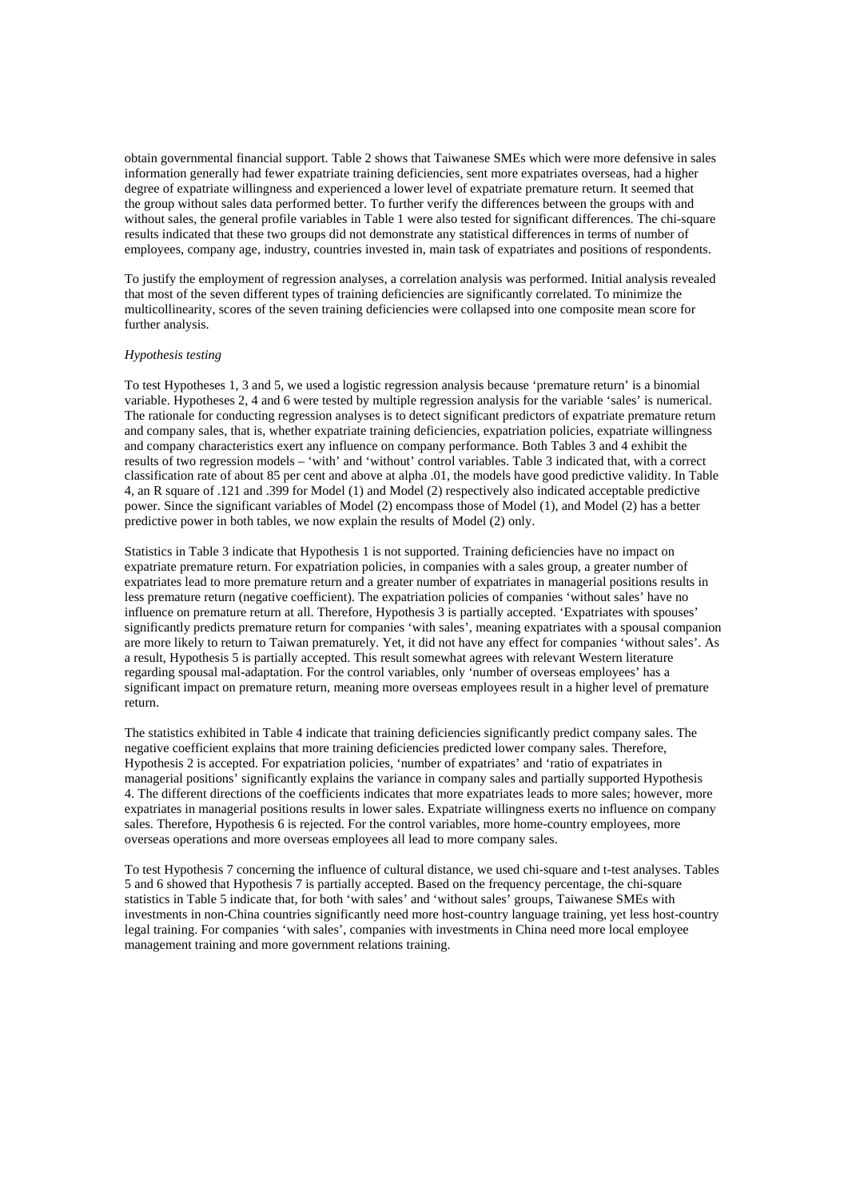obtain governmental financial support. Table 2 shows that Taiwanese SMEs which were more defensive in sales information generally had fewer expatriate training deficiencies, sent more expatriates overseas, had a higher degree of expatriate willingness and experienced a lower level of expatriate premature return. It seemed that the group without sales data performed better. To further verify the differences between the groups with and without sales, the general profile variables in Table 1 were also tested for significant differences. The chi-square results indicated that these two groups did not demonstrate any statistical differences in terms of number of employees, company age, industry, countries invested in, main task of expatriates and positions of respondents.

To justify the employment of regression analyses, a correlation analysis was performed. Initial analysis revealed that most of the seven different types of training deficiencies are significantly correlated. To minimize the multicollinearity, scores of the seven training deficiencies were collapsed into one composite mean score for further analysis.

## *Hypothesis testing*

To test Hypotheses 1, 3 and 5, we used a logistic regression analysis because 'premature return' is a binomial variable. Hypotheses 2, 4 and 6 were tested by multiple regression analysis for the variable 'sales' is numerical. The rationale for conducting regression analyses is to detect significant predictors of expatriate premature return and company sales, that is, whether expatriate training deficiencies, expatriation policies, expatriate willingness and company characteristics exert any influence on company performance. Both Tables 3 and 4 exhibit the results of two regression models – 'with' and 'without' control variables. Table 3 indicated that, with a correct classification rate of about 85 per cent and above at alpha .01, the models have good predictive validity. In Table 4, an R square of .121 and .399 for Model (1) and Model (2) respectively also indicated acceptable predictive power. Since the significant variables of Model (2) encompass those of Model (1), and Model (2) has a better predictive power in both tables, we now explain the results of Model (2) only.

Statistics in Table 3 indicate that Hypothesis 1 is not supported. Training deficiencies have no impact on expatriate premature return. For expatriation policies, in companies with a sales group, a greater number of expatriates lead to more premature return and a greater number of expatriates in managerial positions results in less premature return (negative coefficient). The expatriation policies of companies 'without sales' have no influence on premature return at all. Therefore, Hypothesis 3 is partially accepted. 'Expatriates with spouses' significantly predicts premature return for companies 'with sales', meaning expatriates with a spousal companion are more likely to return to Taiwan prematurely. Yet, it did not have any effect for companies 'without sales'. As a result, Hypothesis 5 is partially accepted. This result somewhat agrees with relevant Western literature regarding spousal mal-adaptation. For the control variables, only 'number of overseas employees' has a significant impact on premature return, meaning more overseas employees result in a higher level of premature return.

The statistics exhibited in Table 4 indicate that training deficiencies significantly predict company sales. The negative coefficient explains that more training deficiencies predicted lower company sales. Therefore, Hypothesis 2 is accepted. For expatriation policies, 'number of expatriates' and 'ratio of expatriates in managerial positions' significantly explains the variance in company sales and partially supported Hypothesis 4. The different directions of the coefficients indicates that more expatriates leads to more sales; however, more expatriates in managerial positions results in lower sales. Expatriate willingness exerts no influence on company sales. Therefore, Hypothesis 6 is rejected. For the control variables, more home-country employees, more overseas operations and more overseas employees all lead to more company sales.

To test Hypothesis 7 concerning the influence of cultural distance, we used chi-square and t-test analyses. Tables 5 and 6 showed that Hypothesis 7 is partially accepted. Based on the frequency percentage, the chi-square statistics in Table 5 indicate that, for both 'with sales' and 'without sales' groups, Taiwanese SMEs with investments in non-China countries significantly need more host-country language training, yet less host-country legal training. For companies 'with sales', companies with investments in China need more local employee management training and more government relations training.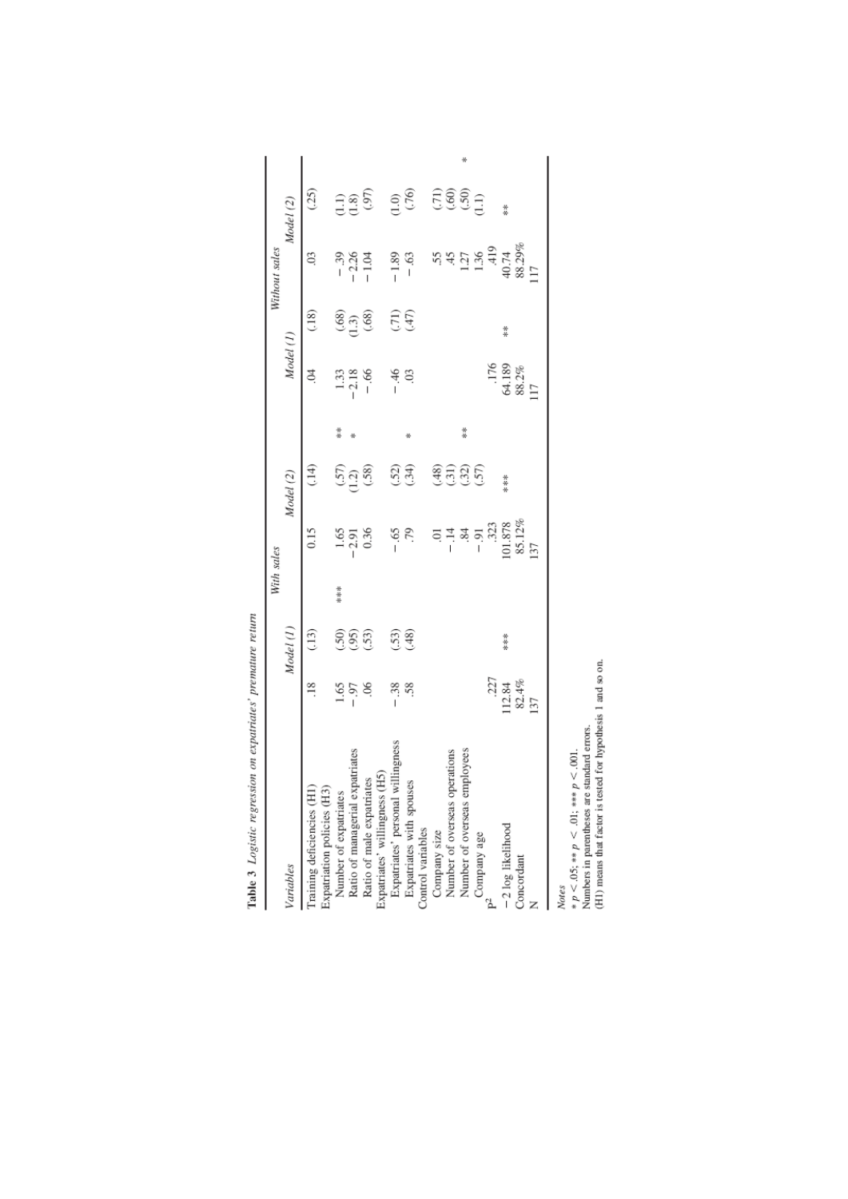|                                                            |               |           | With sales |                     |                             |     |                        |                               | Without sales      |                    |  |
|------------------------------------------------------------|---------------|-----------|------------|---------------------|-----------------------------|-----|------------------------|-------------------------------|--------------------|--------------------|--|
| Variables                                                  |               | Model (1) |            |                     | Model (2)                   |     | Model (1)              |                               |                    | Model (2)          |  |
| Training deficiencies (H1)                                 | $\frac{8}{1}$ | (13)      |            | 0.15                | $\left(\frac{4}{14}\right)$ |     | g                      | $\left( \frac{18}{2} \right)$ | S                  | (25)               |  |
| Expatriation policies (H3)                                 |               |           |            |                     |                             |     |                        |                               |                    |                    |  |
| Number of expatriates                                      | 1.65          |           | ***        |                     |                             | $*$ |                        |                               | $-39$              |                    |  |
| Ratio of managerial expatriates                            | $-97$         | ନ୍ତ୍ର     |            | $-2.91$             | ່ 5ົັ້ງ 3ຶ                  |     | $\frac{33}{2.18}$      | <u>දී තු දී</u>               | $-2.36$<br>$-1.04$ | 크.<br>크.<br>이후     |  |
|                                                            | Š.            |           |            | 0.36                |                             |     | $-0.66$                |                               |                    |                    |  |
| Ratio of male expatriates<br>Expatriates' willingness (H5) |               |           |            |                     |                             |     |                        |                               |                    |                    |  |
| Expatriates' personal willingness                          | $-0.38$       |           |            | $-0.65$             |                             |     |                        |                               | $-1.89$            |                    |  |
| Expatriates with spouses                                   | 58            | යි.       |            | S.                  | ଟ୍ରି କୁ                     | ₩   | 48<br>-                | EE)                           | $-63$              | $^{(1,0)}_{(.76)}$ |  |
| Control variables                                          |               |           |            |                     |                             |     |                        |                               |                    |                    |  |
|                                                            |               |           |            |                     |                             |     |                        |                               |                    |                    |  |
| Company size<br>Number of overseas operations              |               |           |            | $rac{1}{2}$         |                             |     |                        |                               |                    |                    |  |
| Number of overseas employees                               |               |           |            | si                  | ອີຣີອີຣົ                    | 苦芸  |                        |                               |                    | EGGA               |  |
| Company age                                                |               |           |            |                     |                             |     |                        |                               |                    |                    |  |
|                                                            |               |           |            | $-323$              |                             |     |                        |                               |                    |                    |  |
| -2 log likelihood                                          | 112.84        |           |            | $101.878$<br>85.12% | ***                         |     | 176<br>64.189<br>83.2% | $\frac{28}{25}$               |                    | 芸芸                 |  |
| Concordant                                                 | 82.4%         |           |            |                     |                             |     |                        |                               |                    |                    |  |
|                                                            | 137           |           |            | 137                 |                             |     | 117                    |                               | E                  |                    |  |
| Notes                                                      |               |           |            |                     |                             |     |                        |                               |                    |                    |  |

Table 3 Logistic regression on expainates' premature return

 $* p \le 0.05; ** p \le 0.01; *** p \le 0.001.$ <br>Numbers in parentheses are standard errors.<br>(H1) means that factor is tested for hypothesis 1 and so on.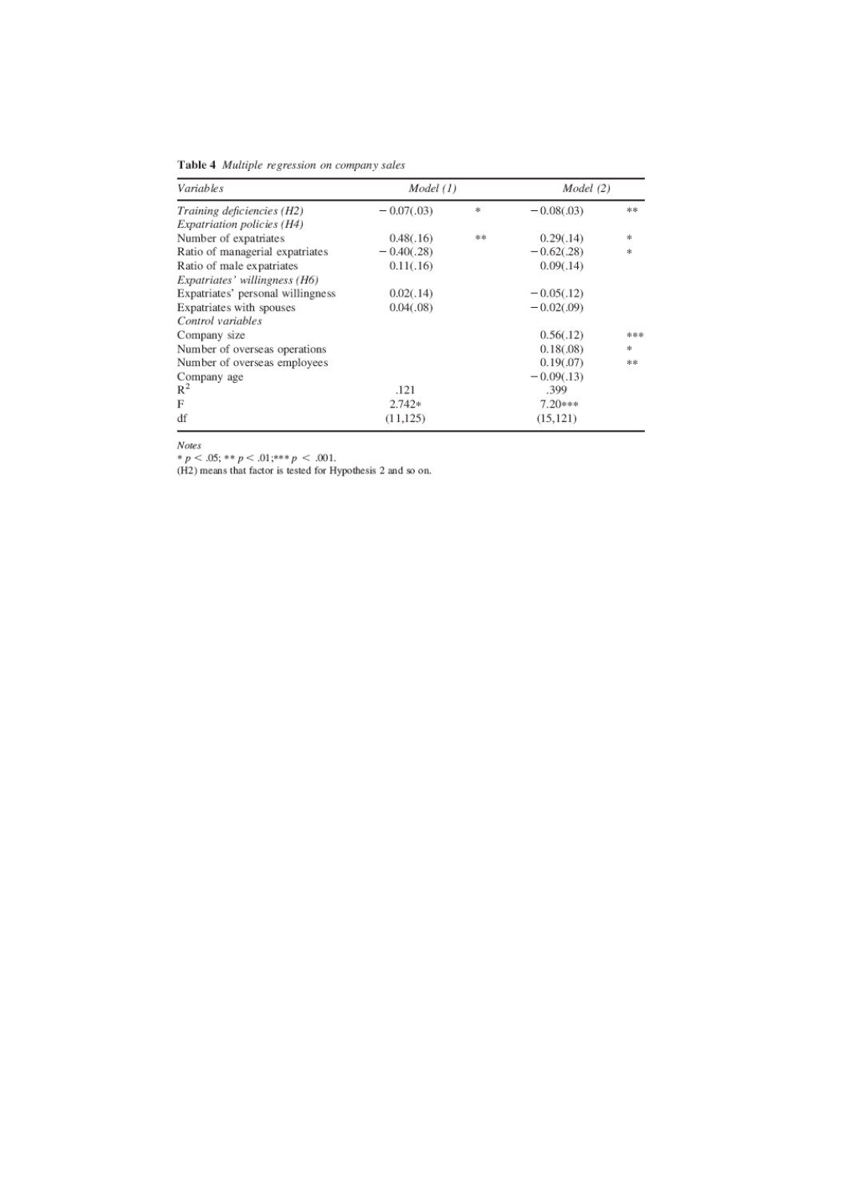Table 4 Multiple regression on company sales

| Variables                         | Model (1)    |    | Model (2)     |     |
|-----------------------------------|--------------|----|---------------|-----|
| Training deficiencies (H2)        | $-0.07(.03)$ | 长  | $-0.08(0.03)$ | **  |
| Expatriation policies (H4)        |              |    |               |     |
| Number of expatriates             | 0.48(.16)    | 米米 | 0.29(0.14)    | 柒   |
| Ratio of managerial expatriates   | $-0.40(.28)$ |    | $-0.62(.28)$  | *   |
| Ratio of male expatriates         | 0.11(.16)    |    | 0.09(0.14)    |     |
| Expatriates' willingness (H6)     |              |    |               |     |
| Expatriates' personal willingness | 0.02(.14)    |    | $-0.05(0.12)$ |     |
| Expatriates with spouses          | 0.04(0.08)   |    | $-0.02(.09)$  |     |
| Control variables                 |              |    |               |     |
| Company size                      |              |    | 0.56(.12)     | *** |
| Number of overseas operations     |              |    | 0.18(.08)     | 米   |
| Number of overseas employees      |              |    | 0.19(0.07)    | 冰冰  |
| Company age                       |              |    | $-0.09(0.13)$ |     |
| $R^2$                             | .121         |    | .399          |     |
| $_{\rm F}$                        | $2.742*$     |    | $7.20***$     |     |
| df                                | (11, 125)    |    | (15, 121)     |     |

Notes<br>\*  $p < .05$ ; \* \*  $p < .01$ ; \* \*  $p < .001$ .<br>(H2) means that factor is tested for Hypothesis 2 and so on.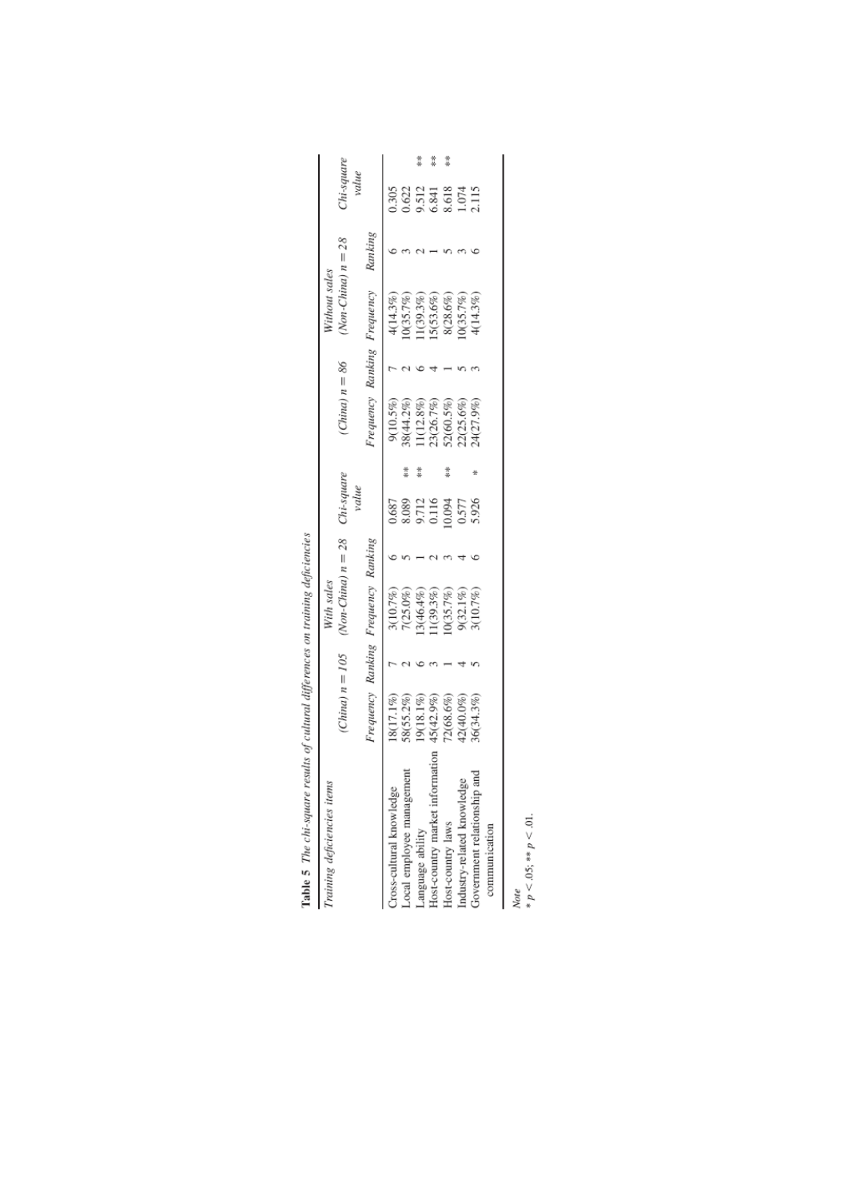| Chi-square<br>value<br>8.618<br>9.512<br>6.841<br>0.305<br>0.622<br>1.074<br>2.115<br>Ranking<br>$(Non-China) n = 28$<br>Frequency Ranking Frequency<br>4(14.3%)<br>10(35.7%<br>$1(39.3\%)$<br>$15(53.6\%$<br>$8(28.6\%)$<br>0(35.7%<br>4(14.3%)<br>$(China) n = 86$<br>9(10.5%)<br>4(27.9%)<br>23(26.7%)<br>$52(60.5\%)$<br>$2(25.6\%)$<br>38(44.2%)<br>$1(12.8\%)$<br>Chi-square<br>value<br>8.089<br>9.712<br>0.116<br>5.926<br>10.094<br>0.577<br>0.687<br>$(Non-China)$ $n = 28$<br>Frequency Ranking Frequency Ranking<br>3(10.7%)<br>$(3(46.4\%)$<br>$1(39.3\%)$<br>10(35.7%)<br>$9(32.1\%)$<br>3(10.7%)<br>$7(25.0\%)$<br>$(China) n = 105$<br>58(55.2%)<br>$72(68.6\%)$<br>18(17.1%)<br>42(40.0%)<br>19(18.1%)<br>45(42.9%)<br>36(34.3%)<br>Host-country market information<br>Local employee management<br>Government relationship and<br>Industry-related knowledge<br>Cross-cultural knowledge<br>Host-country laws<br>communication<br>Language ability | Training deficiencies items                 |  | With sales |  |  | Without sales |  |    |
|----------------------------------------------------------------------------------------------------------------------------------------------------------------------------------------------------------------------------------------------------------------------------------------------------------------------------------------------------------------------------------------------------------------------------------------------------------------------------------------------------------------------------------------------------------------------------------------------------------------------------------------------------------------------------------------------------------------------------------------------------------------------------------------------------------------------------------------------------------------------------------------------------------------------------------------------------------------------|---------------------------------------------|--|------------|--|--|---------------|--|----|
|                                                                                                                                                                                                                                                                                                                                                                                                                                                                                                                                                                                                                                                                                                                                                                                                                                                                                                                                                                      |                                             |  |            |  |  |               |  |    |
|                                                                                                                                                                                                                                                                                                                                                                                                                                                                                                                                                                                                                                                                                                                                                                                                                                                                                                                                                                      |                                             |  |            |  |  |               |  |    |
|                                                                                                                                                                                                                                                                                                                                                                                                                                                                                                                                                                                                                                                                                                                                                                                                                                                                                                                                                                      |                                             |  |            |  |  |               |  |    |
|                                                                                                                                                                                                                                                                                                                                                                                                                                                                                                                                                                                                                                                                                                                                                                                                                                                                                                                                                                      |                                             |  |            |  |  |               |  |    |
|                                                                                                                                                                                                                                                                                                                                                                                                                                                                                                                                                                                                                                                                                                                                                                                                                                                                                                                                                                      |                                             |  |            |  |  |               |  | 芸芸 |
|                                                                                                                                                                                                                                                                                                                                                                                                                                                                                                                                                                                                                                                                                                                                                                                                                                                                                                                                                                      |                                             |  |            |  |  |               |  | 芳芸 |
|                                                                                                                                                                                                                                                                                                                                                                                                                                                                                                                                                                                                                                                                                                                                                                                                                                                                                                                                                                      |                                             |  |            |  |  |               |  | 芸芸 |
|                                                                                                                                                                                                                                                                                                                                                                                                                                                                                                                                                                                                                                                                                                                                                                                                                                                                                                                                                                      |                                             |  |            |  |  |               |  |    |
|                                                                                                                                                                                                                                                                                                                                                                                                                                                                                                                                                                                                                                                                                                                                                                                                                                                                                                                                                                      |                                             |  |            |  |  |               |  |    |
|                                                                                                                                                                                                                                                                                                                                                                                                                                                                                                                                                                                                                                                                                                                                                                                                                                                                                                                                                                      |                                             |  |            |  |  |               |  |    |
|                                                                                                                                                                                                                                                                                                                                                                                                                                                                                                                                                                                                                                                                                                                                                                                                                                                                                                                                                                      | $\ast$ $p$ $<$ .05; $\ast\ast$ $p$ $<$ .01. |  |            |  |  |               |  |    |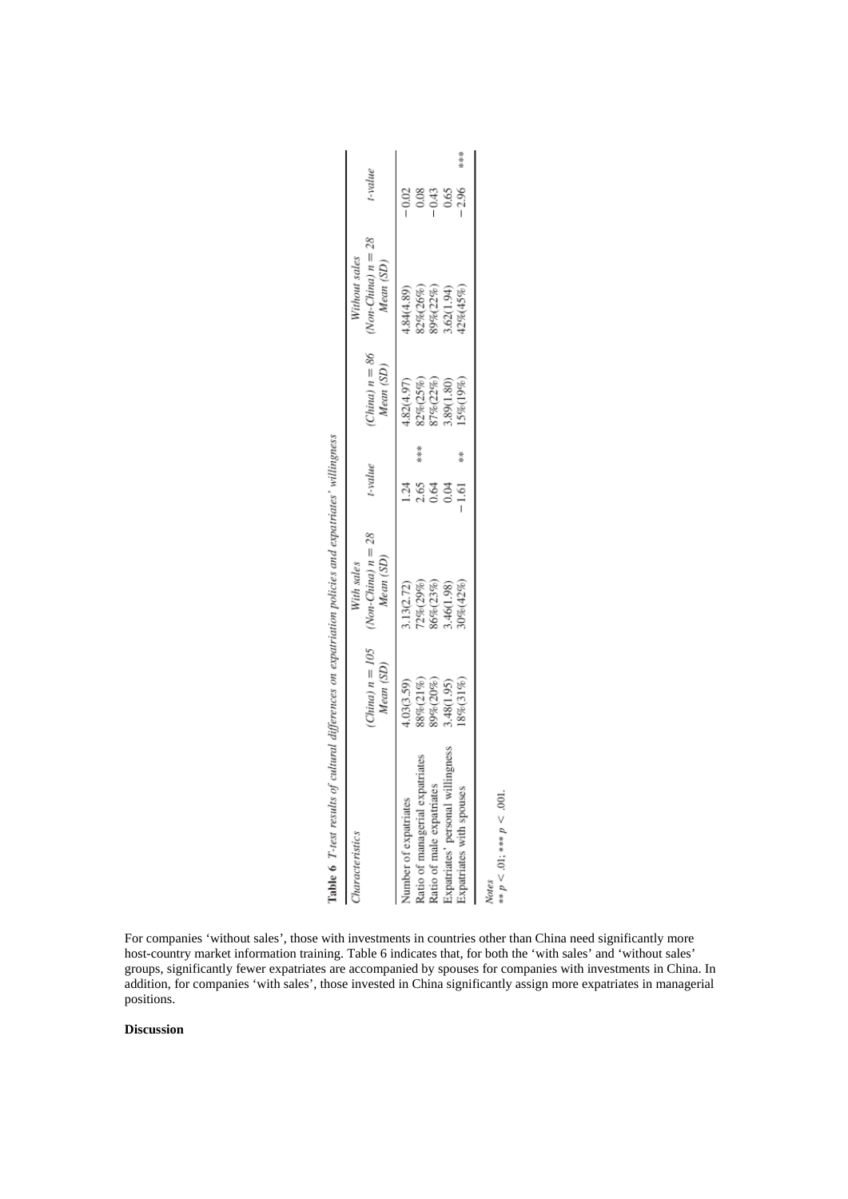| Table 6 T-test results of cultural differences on expatriation policies and expatriates' willingness |                               |                                     |                  |               |                                                    |             |
|------------------------------------------------------------------------------------------------------|-------------------------------|-------------------------------------|------------------|---------------|----------------------------------------------------|-------------|
| Characteristics                                                                                      |                               | With sales                          |                  |               | Without sales                                      |             |
|                                                                                                      | China) $n = 105$<br>Mean (SD) | $(Non-China)$ $n = 28$<br>Mean (SD) | t-value          | Mean (SD)     | $(China) n = 86$ (Non-China) $n = 28$<br>Mean (SD) | t-value     |
| Number of expatriates                                                                                | 4.03(3.59)                    | 3.13(2.72)                          | 1.24             | 4.82(4.97)    | 4.84(4.89)                                         | $-0.02$     |
| Ratio of managerial expatriates                                                                      | 88%(21%)                      | 72%(29%)                            |                  | $82\% (25\%)$ | 32%(26%)                                           | $-0.43$     |
| Ratio of male expatriates                                                                            | 89%(20%)                      | 86% (23%)                           | SS<br>NGC<br>0.0 | 17% (22%)     | 89%(22%)                                           |             |
| Expatriates' personal willingness                                                                    | 3.48(1.95)                    | 3.46(1.98)                          |                  | 8.89(1.80)    | 3.62(1.94)                                         | 0.65        |
| Expatriates with spouses                                                                             | $18\%$ (31%)                  | 0%(42%)                             | $-1.61$          | 15%(19%)      | 12%(45%)                                           | ***<br>2.96 |
| $\Rightarrow p < 0.01$ ; $\Rightarrow p < 0.001$ .<br>Notes                                          |                               |                                     |                  |               |                                                    |             |

For companies 'without sales', those with investments in countries other than China need significantly more host-country market information training. Table 6 indicates that, for both the 'with sales' and 'without sales' groups, significantly fewer expatriates are accompanied by spouses for companies with investments in China. In addition, for companies 'with sales', those invested in China significantly assign more expatriates in managerial positions.

## **Discussion**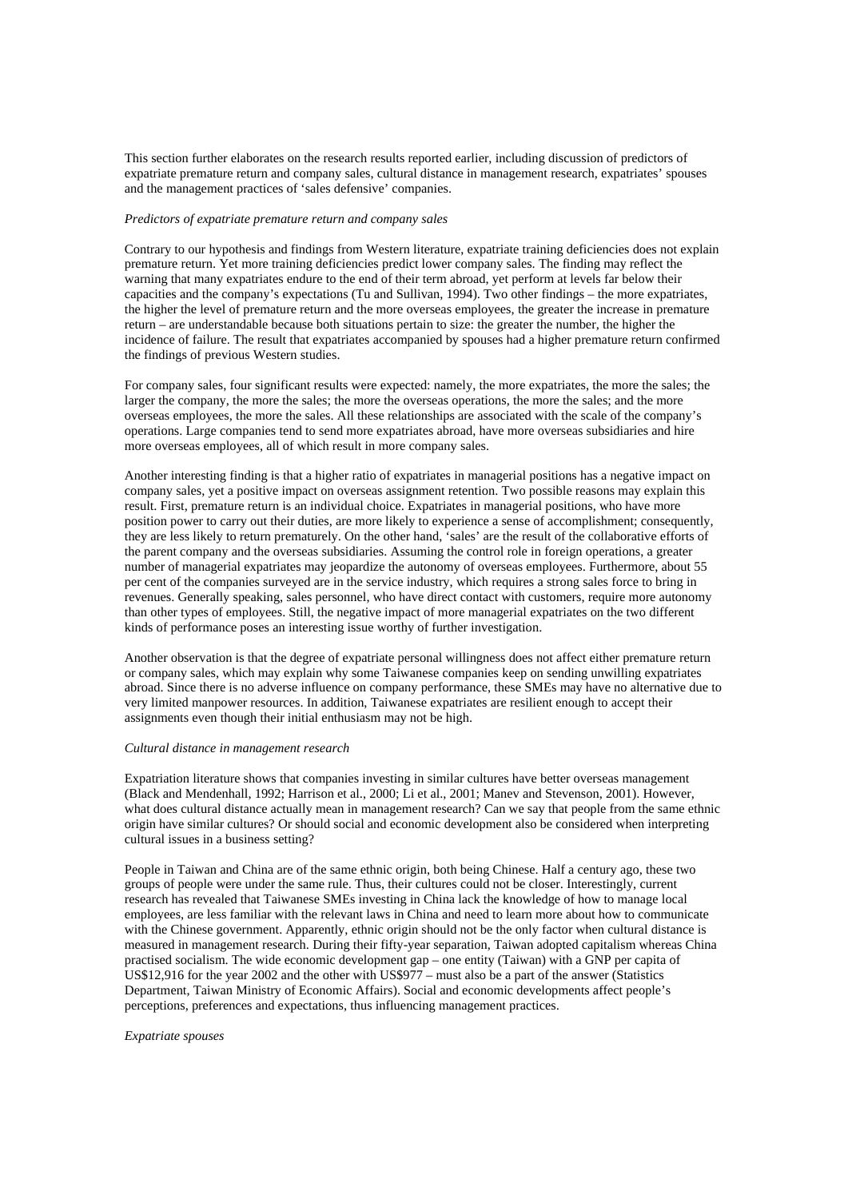This section further elaborates on the research results reported earlier, including discussion of predictors of expatriate premature return and company sales, cultural distance in management research, expatriates' spouses and the management practices of 'sales defensive' companies.

## *Predictors of expatriate premature return and company sales*

Contrary to our hypothesis and findings from Western literature, expatriate training deficiencies does not explain premature return. Yet more training deficiencies predict lower company sales. The finding may reflect the warning that many expatriates endure to the end of their term abroad, yet perform at levels far below their capacities and the company's expectations (Tu and Sullivan, 1994). Two other findings – the more expatriates, the higher the level of premature return and the more overseas employees, the greater the increase in premature return – are understandable because both situations pertain to size: the greater the number, the higher the incidence of failure. The result that expatriates accompanied by spouses had a higher premature return confirmed the findings of previous Western studies.

For company sales, four significant results were expected: namely, the more expatriates, the more the sales; the larger the company, the more the sales; the more the overseas operations, the more the sales; and the more overseas employees, the more the sales. All these relationships are associated with the scale of the company's operations. Large companies tend to send more expatriates abroad, have more overseas subsidiaries and hire more overseas employees, all of which result in more company sales.

Another interesting finding is that a higher ratio of expatriates in managerial positions has a negative impact on company sales, yet a positive impact on overseas assignment retention. Two possible reasons may explain this result. First, premature return is an individual choice. Expatriates in managerial positions, who have more position power to carry out their duties, are more likely to experience a sense of accomplishment; consequently, they are less likely to return prematurely. On the other hand, 'sales' are the result of the collaborative efforts of the parent company and the overseas subsidiaries. Assuming the control role in foreign operations, a greater number of managerial expatriates may jeopardize the autonomy of overseas employees. Furthermore, about 55 per cent of the companies surveyed are in the service industry, which requires a strong sales force to bring in revenues. Generally speaking, sales personnel, who have direct contact with customers, require more autonomy than other types of employees. Still, the negative impact of more managerial expatriates on the two different kinds of performance poses an interesting issue worthy of further investigation.

Another observation is that the degree of expatriate personal willingness does not affect either premature return or company sales, which may explain why some Taiwanese companies keep on sending unwilling expatriates abroad. Since there is no adverse influence on company performance, these SMEs may have no alternative due to very limited manpower resources. In addition, Taiwanese expatriates are resilient enough to accept their assignments even though their initial enthusiasm may not be high.

## *Cultural distance in management research*

Expatriation literature shows that companies investing in similar cultures have better overseas management (Black and Mendenhall, 1992; Harrison et al., 2000; Li et al., 2001; Manev and Stevenson, 2001). However, what does cultural distance actually mean in management research? Can we say that people from the same ethnic origin have similar cultures? Or should social and economic development also be considered when interpreting cultural issues in a business setting?

People in Taiwan and China are of the same ethnic origin, both being Chinese. Half a century ago, these two groups of people were under the same rule. Thus, their cultures could not be closer. Interestingly, current research has revealed that Taiwanese SMEs investing in China lack the knowledge of how to manage local employees, are less familiar with the relevant laws in China and need to learn more about how to communicate with the Chinese government. Apparently, ethnic origin should not be the only factor when cultural distance is measured in management research. During their fifty-year separation, Taiwan adopted capitalism whereas China practised socialism. The wide economic development gap – one entity (Taiwan) with a GNP per capita of US\$12,916 for the year 2002 and the other with US\$977 $-$  must also be a part of the answer (Statistics Department, Taiwan Ministry of Economic Affairs). Social and economic developments affect people's perceptions, preferences and expectations, thus influencing management practices.

### *Expatriate spouses*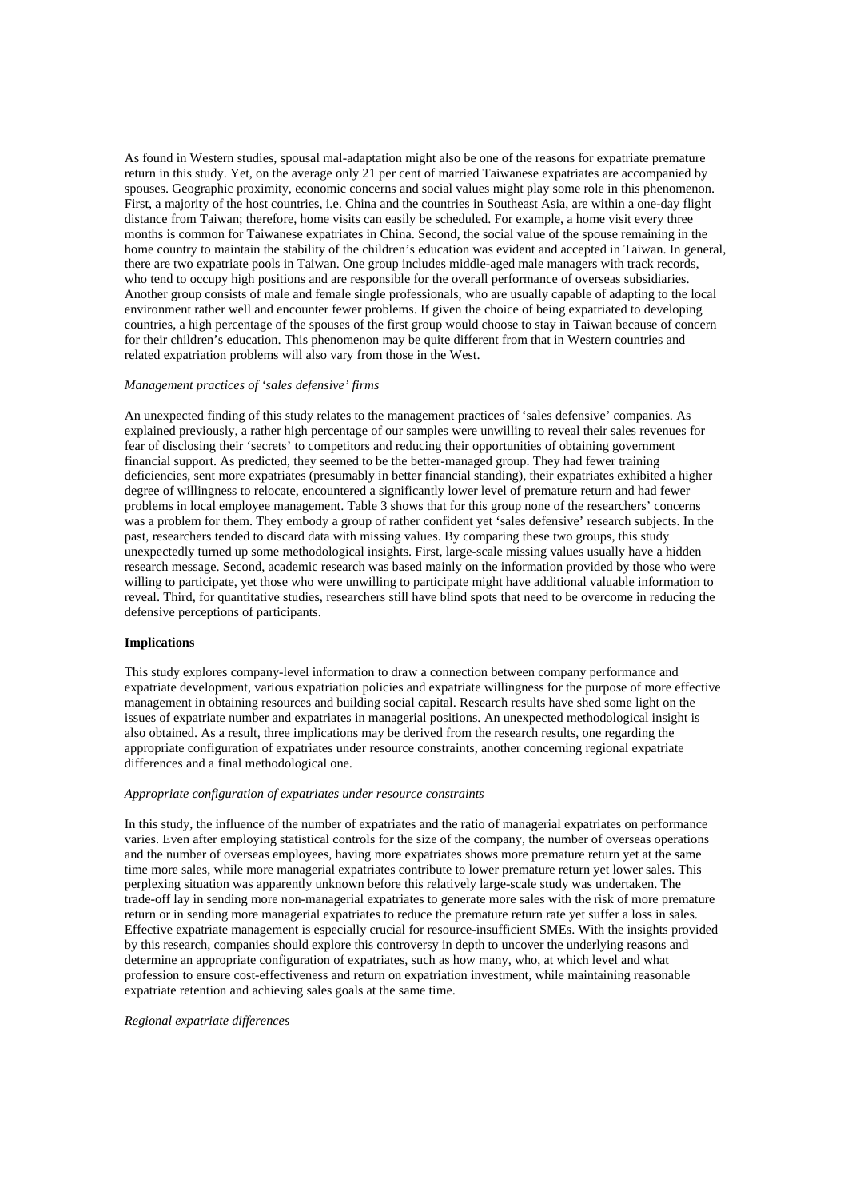As found in Western studies, spousal mal-adaptation might also be one of the reasons for expatriate premature return in this study. Yet, on the average only 21 per cent of married Taiwanese expatriates are accompanied by spouses. Geographic proximity, economic concerns and social values might play some role in this phenomenon. First, a majority of the host countries, i.e. China and the countries in Southeast Asia, are within a one-day flight distance from Taiwan; therefore, home visits can easily be scheduled. For example, a home visit every three months is common for Taiwanese expatriates in China. Second, the social value of the spouse remaining in the home country to maintain the stability of the children's education was evident and accepted in Taiwan. In general, there are two expatriate pools in Taiwan. One group includes middle-aged male managers with track records, who tend to occupy high positions and are responsible for the overall performance of overseas subsidiaries. Another group consists of male and female single professionals, who are usually capable of adapting to the local environment rather well and encounter fewer problems. If given the choice of being expatriated to developing countries, a high percentage of the spouses of the first group would choose to stay in Taiwan because of concern for their children's education. This phenomenon may be quite different from that in Western countries and related expatriation problems will also vary from those in the West.

## *Management practices of 'sales defensive' firms*

An unexpected finding of this study relates to the management practices of 'sales defensive' companies. As explained previously, a rather high percentage of our samples were unwilling to reveal their sales revenues for fear of disclosing their 'secrets' to competitors and reducing their opportunities of obtaining government financial support. As predicted, they seemed to be the better-managed group. They had fewer training deficiencies, sent more expatriates (presumably in better financial standing), their expatriates exhibited a higher degree of willingness to relocate, encountered a significantly lower level of premature return and had fewer problems in local employee management. Table 3 shows that for this group none of the researchers' concerns was a problem for them. They embody a group of rather confident yet 'sales defensive' research subjects. In the past, researchers tended to discard data with missing values. By comparing these two groups, this study unexpectedly turned up some methodological insights. First, large-scale missing values usually have a hidden research message. Second, academic research was based mainly on the information provided by those who were willing to participate, yet those who were unwilling to participate might have additional valuable information to reveal. Third, for quantitative studies, researchers still have blind spots that need to be overcome in reducing the defensive perceptions of participants.

### **Implications**

This study explores company-level information to draw a connection between company performance and expatriate development, various expatriation policies and expatriate willingness for the purpose of more effective management in obtaining resources and building social capital. Research results have shed some light on the issues of expatriate number and expatriates in managerial positions. An unexpected methodological insight is also obtained. As a result, three implications may be derived from the research results, one regarding the appropriate configuration of expatriates under resource constraints, another concerning regional expatriate differences and a final methodological one.

### *Appropriate configuration of expatriates under resource constraints*

In this study, the influence of the number of expatriates and the ratio of managerial expatriates on performance varies. Even after employing statistical controls for the size of the company, the number of overseas operations and the number of overseas employees, having more expatriates shows more premature return yet at the same time more sales, while more managerial expatriates contribute to lower premature return yet lower sales. This perplexing situation was apparently unknown before this relatively large-scale study was undertaken. The trade-off lay in sending more non-managerial expatriates to generate more sales with the risk of more premature return or in sending more managerial expatriates to reduce the premature return rate yet suffer a loss in sales. Effective expatriate management is especially crucial for resource-insufficient SMEs. With the insights provided by this research, companies should explore this controversy in depth to uncover the underlying reasons and determine an appropriate configuration of expatriates, such as how many, who, at which level and what profession to ensure cost-effectiveness and return on expatriation investment, while maintaining reasonable expatriate retention and achieving sales goals at the same time.

## *Regional expatriate differences*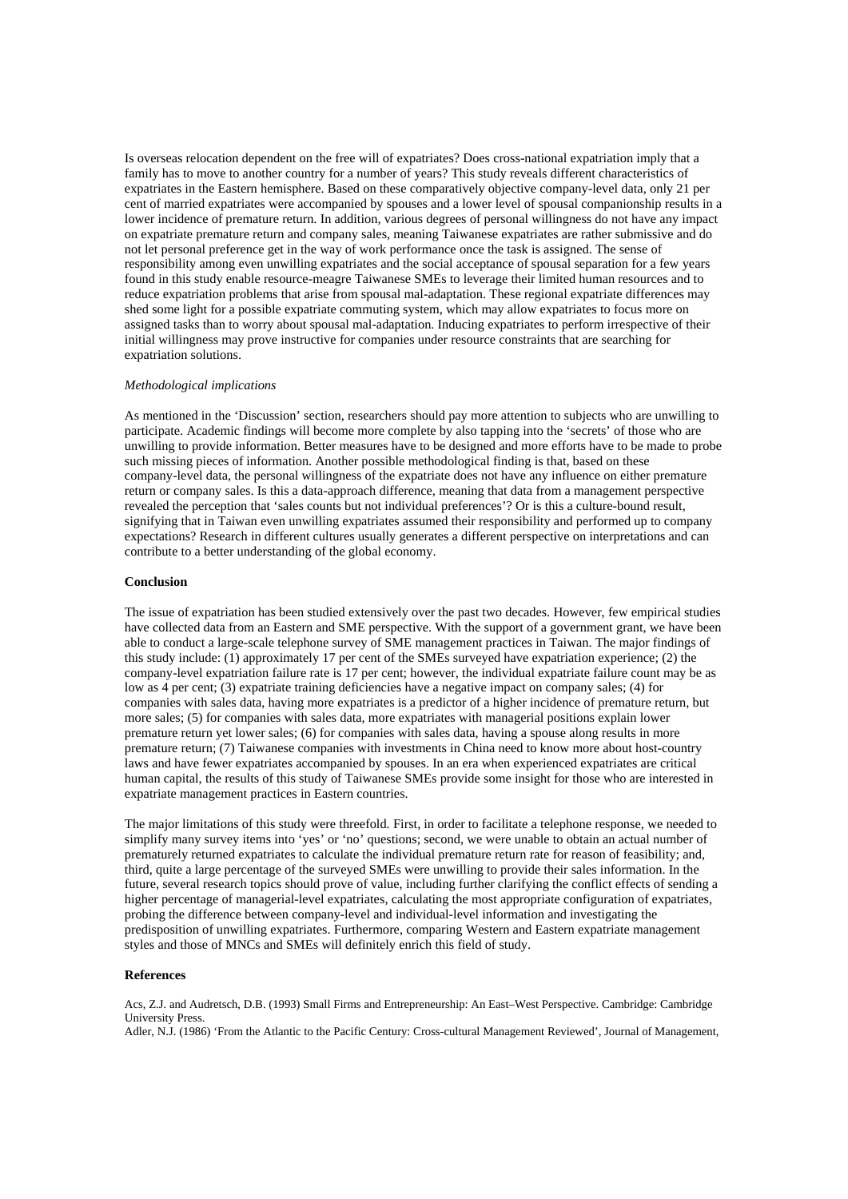Is overseas relocation dependent on the free will of expatriates? Does cross-national expatriation imply that a family has to move to another country for a number of years? This study reveals different characteristics of expatriates in the Eastern hemisphere. Based on these comparatively objective company-level data, only 21 per cent of married expatriates were accompanied by spouses and a lower level of spousal companionship results in a lower incidence of premature return. In addition, various degrees of personal willingness do not have any impact on expatriate premature return and company sales, meaning Taiwanese expatriates are rather submissive and do not let personal preference get in the way of work performance once the task is assigned. The sense of responsibility among even unwilling expatriates and the social acceptance of spousal separation for a few years found in this study enable resource-meagre Taiwanese SMEs to leverage their limited human resources and to reduce expatriation problems that arise from spousal mal-adaptation. These regional expatriate differences may shed some light for a possible expatriate commuting system, which may allow expatriates to focus more on assigned tasks than to worry about spousal mal-adaptation. Inducing expatriates to perform irrespective of their initial willingness may prove instructive for companies under resource constraints that are searching for expatriation solutions.

#### *Methodological implications*

As mentioned in the 'Discussion' section, researchers should pay more attention to subjects who are unwilling to participate. Academic findings will become more complete by also tapping into the 'secrets' of those who are unwilling to provide information. Better measures have to be designed and more efforts have to be made to probe such missing pieces of information. Another possible methodological finding is that, based on these company-level data, the personal willingness of the expatriate does not have any influence on either premature return or company sales. Is this a data-approach difference, meaning that data from a management perspective revealed the perception that 'sales counts but not individual preferences'? Or is this a culture-bound result, signifying that in Taiwan even unwilling expatriates assumed their responsibility and performed up to company expectations? Research in different cultures usually generates a different perspective on interpretations and can contribute to a better understanding of the global economy.

### **Conclusion**

The issue of expatriation has been studied extensively over the past two decades. However, few empirical studies have collected data from an Eastern and SME perspective. With the support of a government grant, we have been able to conduct a large-scale telephone survey of SME management practices in Taiwan. The major findings of this study include: (1) approximately 17 per cent of the SMEs surveyed have expatriation experience; (2) the company-level expatriation failure rate is 17 per cent; however, the individual expatriate failure count may be as low as 4 per cent; (3) expatriate training deficiencies have a negative impact on company sales; (4) for companies with sales data, having more expatriates is a predictor of a higher incidence of premature return, but more sales; (5) for companies with sales data, more expatriates with managerial positions explain lower premature return yet lower sales; (6) for companies with sales data, having a spouse along results in more premature return; (7) Taiwanese companies with investments in China need to know more about host-country laws and have fewer expatriates accompanied by spouses. In an era when experienced expatriates are critical human capital, the results of this study of Taiwanese SMEs provide some insight for those who are interested in expatriate management practices in Eastern countries.

The major limitations of this study were threefold. First, in order to facilitate a telephone response, we needed to simplify many survey items into 'yes' or 'no' questions; second, we were unable to obtain an actual number of prematurely returned expatriates to calculate the individual premature return rate for reason of feasibility; and, third, quite a large percentage of the surveyed SMEs were unwilling to provide their sales information. In the future, several research topics should prove of value, including further clarifying the conflict effects of sending a higher percentage of managerial-level expatriates, calculating the most appropriate configuration of expatriates, probing the difference between company-level and individual-level information and investigating the predisposition of unwilling expatriates. Furthermore, comparing Western and Eastern expatriate management styles and those of MNCs and SMEs will definitely enrich this field of study.

#### **References**

Acs, Z.J. and Audretsch, D.B. (1993) Small Firms and Entrepreneurship: An East–West Perspective. Cambridge: Cambridge University Press.

Adler, N.J. (1986) 'From the Atlantic to the Pacific Century: Cross-cultural Management Reviewed', Journal of Management,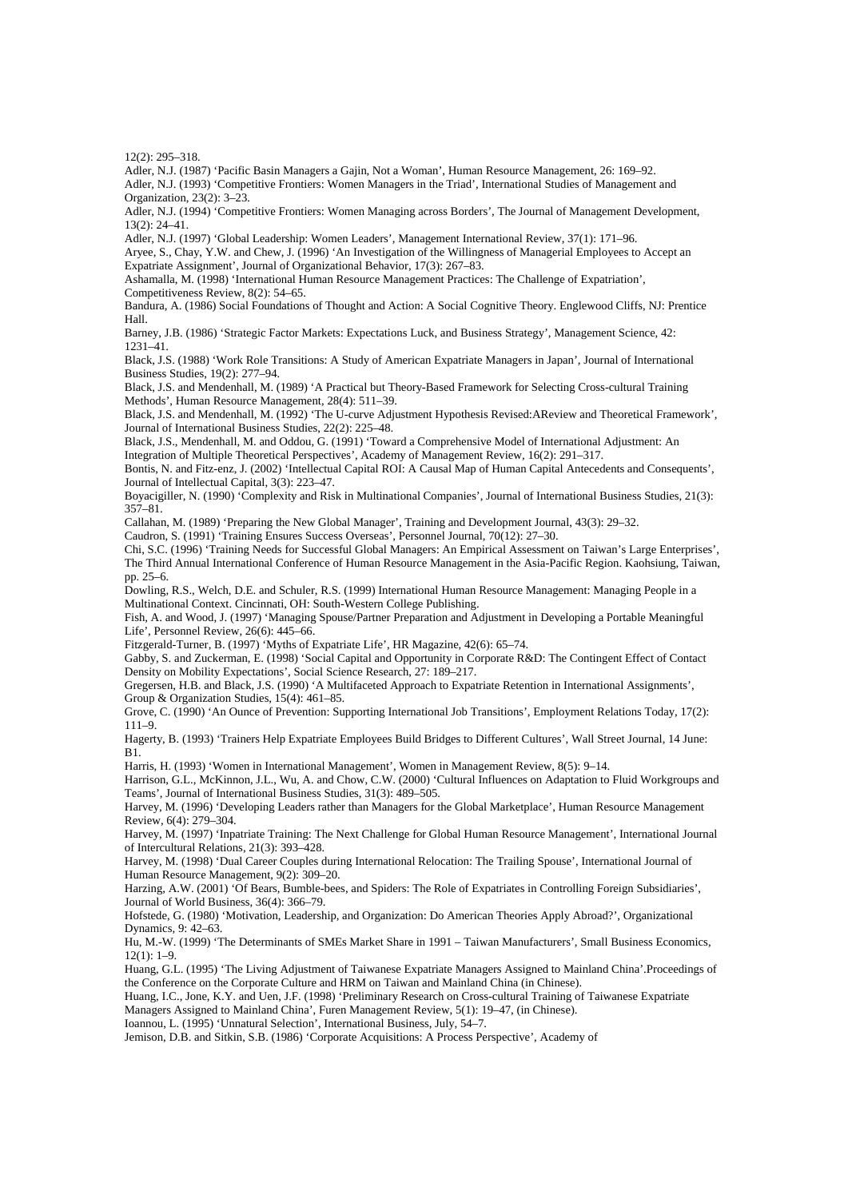$12(2)$ : 295–318.

Adler, N.J. (1987) 'Pacific Basin Managers a Gajin, Not a Woman', Human Resource Management, 26: 169–92. Adler, N.J. (1993) 'Competitive Frontiers: Women Managers in the Triad', International Studies of Management and Organization, 23(2): 3–23.

Adler, N.J. (1994) 'Competitive Frontiers: Women Managing across Borders', The Journal of Management Development, 13(2): 24–41.

Adler, N.J. (1997) 'Global Leadership: Women Leaders', Management International Review, 37(1): 171–96.

Aryee, S., Chay, Y.W. and Chew, J. (1996) 'An Investigation of the Willingness of Managerial Employees to Accept an Expatriate Assignment', Journal of Organizational Behavior, 17(3): 267–83.

Ashamalla, M. (1998) 'International Human Resource Management Practices: The Challenge of Expatriation', Competitiveness Review, 8(2): 54–65.

Bandura, A. (1986) Social Foundations of Thought and Action: A Social Cognitive Theory. Englewood Cliffs, NJ: Prentice Hall.

Barney, J.B. (1986) 'Strategic Factor Markets: Expectations Luck, and Business Strategy', Management Science, 42: 1231–41.

Black, J.S. (1988) 'Work Role Transitions: A Study of American Expatriate Managers in Japan', Journal of International Business Studies, 19(2): 277–94.

Black, J.S. and Mendenhall, M. (1989) 'A Practical but Theory-Based Framework for Selecting Cross-cultural Training Methods', Human Resource Management, 28(4): 511–39.

Black, J.S. and Mendenhall, M. (1992) 'The U-curve Adjustment Hypothesis Revised:AReview and Theoretical Framework', Journal of International Business Studies, 22(2): 225–48.

Black, J.S., Mendenhall, M. and Oddou, G. (1991) 'Toward a Comprehensive Model of International Adjustment: An Integration of Multiple Theoretical Perspectives', Academy of Management Review, 16(2): 291–317.

Bontis, N. and Fitz-enz, J. (2002) 'Intellectual Capital ROI: A Causal Map of Human Capital Antecedents and Consequents',

Journal of Intellectual Capital, 3(3): 223–47. Boyacigiller, N. (1990) 'Complexity and Risk in Multinational Companies', Journal of International Business Studies, 21(3): 357–81.

Callahan, M. (1989) 'Preparing the New Global Manager', Training and Development Journal, 43(3): 29–32.

Caudron, S. (1991) 'Training Ensures Success Overseas', Personnel Journal, 70(12): 27–30.

Chi, S.C. (1996) 'Training Needs for Successful Global Managers: An Empirical Assessment on Taiwan's Large Enterprises', The Third Annual International Conference of Human Resource Management in the Asia-Pacific Region. Kaohsiung, Taiwan, pp. 25–6.

Dowling, R.S., Welch, D.E. and Schuler, R.S. (1999) International Human Resource Management: Managing People in a Multinational Context. Cincinnati, OH: South-Western College Publishing.

Fish, A. and Wood, J. (1997) 'Managing Spouse/Partner Preparation and Adjustment in Developing a Portable Meaningful Life', Personnel Review, 26(6): 445–66.

Fitzgerald-Turner, B. (1997) 'Myths of Expatriate Life', HR Magazine, 42(6): 65–74.

Gabby, S. and Zuckerman, E. (1998) 'Social Capital and Opportunity in Corporate R&D: The Contingent Effect of Contact Density on Mobility Expectations', Social Science Research, 27: 189–217.

Gregersen, H.B. and Black, J.S. (1990) 'A Multifaceted Approach to Expatriate Retention in International Assignments', Group & Organization Studies, 15(4): 461–85.

Grove, C. (1990) 'An Ounce of Prevention: Supporting International Job Transitions', Employment Relations Today, 17(2):  $111-9$ 

Hagerty, B. (1993) 'Trainers Help Expatriate Employees Build Bridges to Different Cultures', Wall Street Journal, 14 June: **B**1.

Harris, H. (1993) 'Women in International Management', Women in Management Review, 8(5): 9–14.

Harrison, G.L., McKinnon, J.L., Wu, A. and Chow, C.W. (2000) 'Cultural Influences on Adaptation to Fluid Workgroups and Teams', Journal of International Business Studies, 31(3): 489–505.

Harvey, M. (1996) 'Developing Leaders rather than Managers for the Global Marketplace', Human Resource Management Review, 6(4): 279–304.

Harvey, M. (1997) 'Inpatriate Training: The Next Challenge for Global Human Resource Management', International Journal of Intercultural Relations, 21(3): 393–428.

Harvey, M. (1998) 'Dual Career Couples during International Relocation: The Trailing Spouse', International Journal of Human Resource Management, 9(2): 309–20.

Harzing, A.W. (2001) 'Of Bears, Bumble-bees, and Spiders: The Role of Expatriates in Controlling Foreign Subsidiaries', Journal of World Business, 36(4): 366–79.

Hofstede, G. (1980) 'Motivation, Leadership, and Organization: Do American Theories Apply Abroad?', Organizational Dynamics, 9: 42–63.

Hu, M.-W. (1999) 'The Determinants of SMEs Market Share in 1991 – Taiwan Manufacturers', Small Business Economics, 12(1): 1–9.

Huang, G.L. (1995) 'The Living Adjustment of Taiwanese Expatriate Managers Assigned to Mainland China'.Proceedings of the Conference on the Corporate Culture and HRM on Taiwan and Mainland China (in Chinese).

Huang, I.C., Jone, K.Y. and Uen, J.F. (1998) 'Preliminary Research on Cross-cultural Training of Taiwanese Expatriate Managers Assigned to Mainland China', Furen Management Review, 5(1): 19–47, (in Chinese).

Ioannou, L. (1995) 'Unnatural Selection', International Business, July, 54–7.

Jemison, D.B. and Sitkin, S.B. (1986) 'Corporate Acquisitions: A Process Perspective', Academy of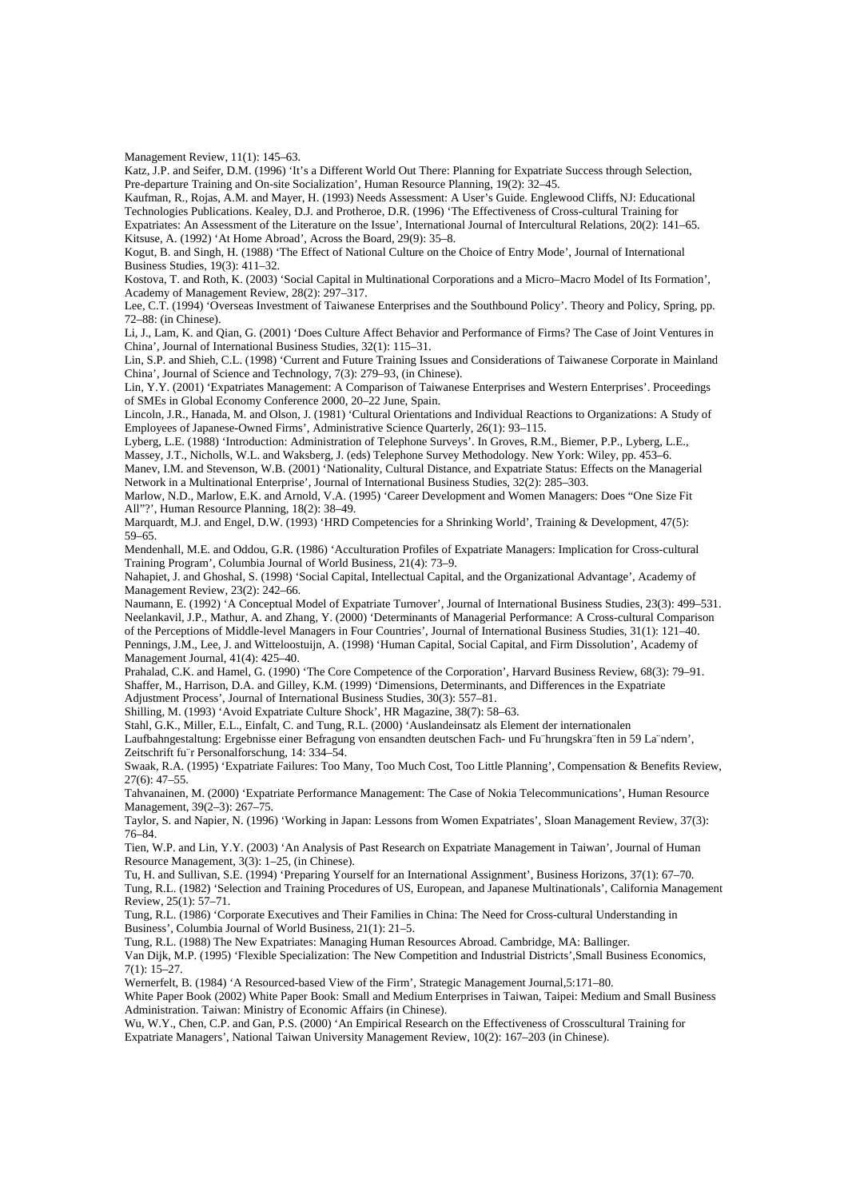Management Review, 11(1): 145–63.

Katz, J.P. and Seifer, D.M. (1996) 'It's a Different World Out There: Planning for Expatriate Success through Selection, Pre-departure Training and On-site Socialization', Human Resource Planning, 19(2): 32–45.

Kaufman, R., Rojas, A.M. and Mayer, H. (1993) Needs Assessment: A User's Guide. Englewood Cliffs, NJ: Educational Technologies Publications. Kealey, D.J. and Protheroe, D.R. (1996) 'The Effectiveness of Cross-cultural Training for Expatriates: An Assessment of the Literature on the Issue', International Journal of Intercultural Relations, 20(2): 141–65. Kitsuse, A. (1992) 'At Home Abroad', Across the Board, 29(9): 35–8.

Kogut, B. and Singh, H. (1988) 'The Effect of National Culture on the Choice of Entry Mode', Journal of International Business Studies, 19(3): 411–32.

Kostova, T. and Roth, K. (2003) 'Social Capital in Multinational Corporations and a Micro–Macro Model of Its Formation', Academy of Management Review, 28(2): 297–317.

Lee, C.T. (1994) 'Overseas Investment of Taiwanese Enterprises and the Southbound Policy'. Theory and Policy, Spring, pp. 72–88: (in Chinese).

Li, J., Lam, K. and Qian, G. (2001) 'Does Culture Affect Behavior and Performance of Firms? The Case of Joint Ventures in China', Journal of International Business Studies, 32(1): 115–31.

Lin, S.P. and Shieh, C.L. (1998) 'Current and Future Training Issues and Considerations of Taiwanese Corporate in Mainland China', Journal of Science and Technology, 7(3): 279–93, (in Chinese).

Lin, Y.Y. (2001) 'Expatriates Management: A Comparison of Taiwanese Enterprises and Western Enterprises'. Proceedings of SMEs in Global Economy Conference 2000, 20–22 June, Spain.

Lincoln, J.R., Hanada, M. and Olson, J. (1981) 'Cultural Orientations and Individual Reactions to Organizations: A Study of Employees of Japanese-Owned Firms', Administrative Science Quarterly, 26(1): 93–115.

Lyberg, L.E. (1988) 'Introduction: Administration of Telephone Surveys'. In Groves, R.M., Biemer, P.P., Lyberg, L.E.,

Massey, J.T., Nicholls, W.L. and Waksberg, J. (eds) Telephone Survey Methodology. New York: Wiley, pp. 453–6.

Manev, I.M. and Stevenson, W.B. (2001) 'Nationality, Cultural Distance, and Expatriate Status: Effects on the Managerial Network in a Multinational Enterprise', Journal of International Business Studies, 32(2): 285–303.

Marlow, N.D., Marlow, E.K. and Arnold, V.A. (1995) 'Career Development and Women Managers: Does "One Size Fit All"?', Human Resource Planning, 18(2): 38–49.

Marquardt, M.J. and Engel, D.W. (1993) 'HRD Competencies for a Shrinking World', Training & Development, 47(5): 59–65.

Mendenhall, M.E. and Oddou, G.R. (1986) 'Acculturation Profiles of Expatriate Managers: Implication for Cross-cultural Training Program', Columbia Journal of World Business, 21(4): 73–9.

Nahapiet, J. and Ghoshal, S. (1998) 'Social Capital, Intellectual Capital, and the Organizational Advantage', Academy of Management Review, 23(2): 242–66.

Naumann, E. (1992) 'A Conceptual Model of Expatriate Turnover', Journal of International Business Studies, 23(3): 499–531. Neelankavil, J.P., Mathur, A. and Zhang, Y. (2000) 'Determinants of Managerial Performance: A Cross-cultural Comparison of the Perceptions of Middle-level Managers in Four Countries', Journal of International Business Studies, 31(1): 121–40. Pennings, J.M., Lee, J. and Witteloostuijn, A. (1998) 'Human Capital, Social Capital, and Firm Dissolution', Academy of Management Journal, 41(4): 425–40.

Prahalad, C.K. and Hamel, G. (1990) 'The Core Competence of the Corporation', Harvard Business Review, 68(3): 79–91. Shaffer, M., Harrison, D.A. and Gilley, K.M. (1999) 'Dimensions, Determinants, and Differences in the Expatriate

Adjustment Process', Journal of International Business Studies, 30(3): 557–81. Shilling, M. (1993) 'Avoid Expatriate Culture Shock', HR Magazine, 38(7): 58–63.

Stahl, G.K., Miller, E.L., Einfalt, C. and Tung, R.L. (2000) 'Auslandeinsatz als Element der internationalen

Laufbahngestaltung: Ergebnisse einer Befragung von ensandten deutschen Fach- und Fu¨hrungskra¨ften in 59 La¨ndern', Zeitschrift fu¨r Personalforschung, 14: 334–54.

Swaak, R.A. (1995) 'Expatriate Failures: Too Many, Too Much Cost, Too Little Planning', Compensation & Benefits Review, 27(6): 47–55.

Tahvanainen, M. (2000) 'Expatriate Performance Management: The Case of Nokia Telecommunications', Human Resource Management, 39(2–3): 267–75.

Taylor, S. and Napier, N. (1996) 'Working in Japan: Lessons from Women Expatriates', Sloan Management Review, 37(3): 76–84.

Tien, W.P. and Lin, Y.Y. (2003) 'An Analysis of Past Research on Expatriate Management in Taiwan', Journal of Human Resource Management, 3(3): 1–25, (in Chinese).

Tu, H. and Sullivan, S.E. (1994) 'Preparing Yourself for an International Assignment', Business Horizons, 37(1): 67–70. Tung, R.L. (1982) 'Selection and Training Procedures of US, European, and Japanese Multinationals', California Management Review, 25(1): 57–71.

Tung, R.L. (1986) 'Corporate Executives and Their Families in China: The Need for Cross-cultural Understanding in Business', Columbia Journal of World Business, 21(1): 21–5.

Tung, R.L. (1988) The New Expatriates: Managing Human Resources Abroad. Cambridge, MA: Ballinger.

Van Dijk, M.P. (1995) 'Flexible Specialization: The New Competition and Industrial Districts',Small Business Economics, 7(1): 15–27.

Wernerfelt, B. (1984) 'A Resourced-based View of the Firm', Strategic Management Journal,5:171–80.

White Paper Book (2002) White Paper Book: Small and Medium Enterprises in Taiwan, Taipei: Medium and Small Business Administration. Taiwan: Ministry of Economic Affairs (in Chinese).

Wu, W.Y., Chen, C.P. and Gan, P.S. (2000) 'An Empirical Research on the Effectiveness of Crosscultural Training for Expatriate Managers', National Taiwan University Management Review, 10(2): 167–203 (in Chinese).